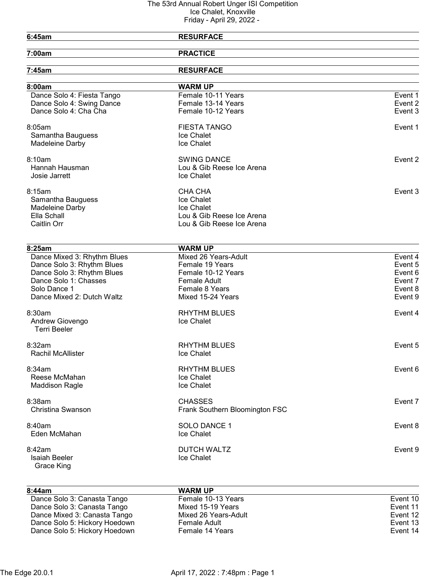| 6:45am                                    | <b>RESURFACE</b>               |         |
|-------------------------------------------|--------------------------------|---------|
|                                           |                                |         |
| 7:00am                                    | <b>PRACTICE</b>                |         |
| 7:45am                                    | <b>RESURFACE</b>               |         |
| 8:00am                                    | <b>WARM UP</b>                 |         |
| Dance Solo 4: Fiesta Tango                | Female 10-11 Years             | Event 1 |
| Dance Solo 4: Swing Dance                 | Female 13-14 Years             | Event 2 |
| Dance Solo 4: Cha Cha                     | Female 10-12 Years             | Event 3 |
| 8:05am                                    | <b>FIESTA TANGO</b>            | Event 1 |
| Samantha Bauguess                         | Ice Chalet                     |         |
| Madeleine Darby                           | Ice Chalet                     |         |
| 8:10am                                    | <b>SWING DANCE</b>             | Event 2 |
| Hannah Hausman                            | Lou & Gib Reese Ice Arena      |         |
| Josie Jarrett                             | Ice Chalet                     |         |
| 8:15am                                    | CHA CHA                        | Event 3 |
| Samantha Bauguess                         | Ice Chalet                     |         |
| Madeleine Darby                           | Ice Chalet                     |         |
| Ella Schall                               | Lou & Gib Reese Ice Arena      |         |
| Caitlin Orr                               | Lou & Gib Reese Ice Arena      |         |
|                                           |                                |         |
| 8:25am                                    | <b>WARM UP</b>                 |         |
| Dance Mixed 3: Rhythm Blues               | Mixed 26 Years-Adult           | Event 4 |
| Dance Solo 3: Rhythm Blues                | Female 19 Years                | Event 5 |
| Dance Solo 3: Rhythm Blues                | Female 10-12 Years             | Event 6 |
| Dance Solo 1: Chasses                     | Female Adult                   | Event 7 |
| Solo Dance 1                              | Female 8 Years                 | Event 8 |
| Dance Mixed 2: Dutch Waltz                | Mixed 15-24 Years              | Event 9 |
| 8:30am                                    | <b>RHYTHM BLUES</b>            | Event 4 |
| Andrew Giovengo<br><b>Terri Beeler</b>    | Ice Chalet                     |         |
|                                           |                                |         |
| 8:32am                                    | <b>RHYTHM BLUES</b>            | Event 5 |
| Rachil McAllister                         | Ice Chalet                     |         |
| 8:34am                                    | <b>RHYTHM BLUES</b>            | Event 6 |
| Reese McMahan                             | Ice Chalet                     |         |
| <b>Maddison Ragle</b>                     | Ice Chalet                     |         |
| 8:38am                                    | <b>CHASSES</b>                 | Event 7 |
| Christina Swanson                         | Frank Southern Bloomington FSC |         |
| 8:40am                                    | SOLO DANCE 1                   | Event 8 |
| Eden McMahan                              | Ice Chalet                     |         |
| 8:42am                                    | <b>DUTCH WALTZ</b>             | Event 9 |
| <b>Isaiah Beeler</b><br><b>Grace King</b> | Ice Chalet                     |         |
|                                           |                                |         |
|                                           |                                |         |

| 8:44am                        | <b>WARM UP</b>       |          |
|-------------------------------|----------------------|----------|
| Dance Solo 3: Canasta Tango   | Female 10-13 Years   | Event 10 |
| Dance Solo 3: Canasta Tango   | Mixed 15-19 Years    | Event 11 |
| Dance Mixed 3: Canasta Tango  | Mixed 26 Years-Adult | Event 12 |
| Dance Solo 5: Hickory Hoedown | Female Adult         | Event 13 |
| Dance Solo 5: Hickory Hoedown | Female 14 Years      | Event 14 |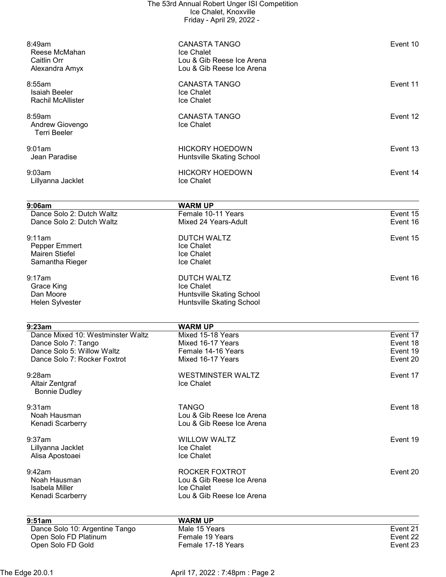| 8:49am<br>Reese McMahan<br>Caitlin Orr<br>Alexandra Amyx                                                                                                         | <b>CANASTA TANGO</b><br>Ice Chalet<br>Lou & Gib Reese Ice Arena<br>Lou & Gib Reese Ice Arena                                                  | Event 10                                                 |
|------------------------------------------------------------------------------------------------------------------------------------------------------------------|-----------------------------------------------------------------------------------------------------------------------------------------------|----------------------------------------------------------|
| 8:55am<br><b>Isaiah Beeler</b><br><b>Rachil McAllister</b>                                                                                                       | <b>CANASTA TANGO</b><br>Ice Chalet<br>Ice Chalet                                                                                              | Event 11                                                 |
| 8:59am<br>Andrew Giovengo<br><b>Terri Beeler</b>                                                                                                                 | <b>CANASTA TANGO</b><br>Ice Chalet                                                                                                            | Event 12                                                 |
| 9:01am<br>Jean Paradise                                                                                                                                          | <b>HICKORY HOEDOWN</b><br>Huntsville Skating School                                                                                           | Event 13                                                 |
| 9:03am<br>Lillyanna Jacklet                                                                                                                                      | <b>HICKORY HOEDOWN</b><br>Ice Chalet                                                                                                          | Event 14                                                 |
| 9:06am                                                                                                                                                           | <b>WARM UP</b>                                                                                                                                |                                                          |
| Dance Solo 2: Dutch Waltz<br>Dance Solo 2: Dutch Waltz                                                                                                           | Female 10-11 Years<br>Mixed 24 Years-Adult                                                                                                    | Event 15<br>Event 16                                     |
| 9:11am<br>Pepper Emmert<br><b>Mairen Stiefel</b><br>Samantha Rieger                                                                                              | <b>DUTCH WALTZ</b><br>Ice Chalet<br>Ice Chalet<br>Ice Chalet                                                                                  | Event 15                                                 |
| 9:17am<br>Grace King<br>Dan Moore<br>Helen Sylvester                                                                                                             | <b>DUTCH WALTZ</b><br>Ice Chalet<br><b>Huntsville Skating School</b><br>Huntsville Skating School                                             | Event 16                                                 |
| 9:23am<br>Dance Mixed 10: Westminster Waltz<br>Dance Solo 7: Tango<br>Dance Solo 5: Willow Waltz<br>Dance Solo 7: Rocker Foxtrot<br>$9:28$ am<br>Altair Zentgraf | <b>WARM UP</b><br>Mixed 15-18 Years<br>Mixed 16-17 Years<br>Female 14-16 Years<br>Mixed 16-17 Years<br><b>WESTMINSTER WALTZ</b><br>Ice Chalet | Event 17<br>Event 18<br>Event 19<br>Event 20<br>Event 17 |
| <b>Bonnie Dudley</b><br>9:31am<br>Noah Hausman<br>Kenadi Scarberry                                                                                               | <b>TANGO</b><br>Lou & Gib Reese Ice Arena<br>Lou & Gib Reese Ice Arena                                                                        | Event 18                                                 |
| 9:37am<br>Lillyanna Jacklet<br>Alisa Apostoaei                                                                                                                   | <b>WILLOW WALTZ</b><br>Ice Chalet<br>Ice Chalet                                                                                               | Event 19                                                 |
| 9:42am<br>Noah Hausman<br>Isabela Miller<br>Kenadi Scarberry                                                                                                     | ROCKER FOXTROT<br>Lou & Gib Reese Ice Arena<br>Ice Chalet<br>Lou & Gib Reese Ice Arena                                                        | Event 20                                                 |
| 9:51am                                                                                                                                                           | <b>WARM UP</b>                                                                                                                                |                                                          |
| Dance Solo 10: Argentine Tango<br>Open Solo FD Platinum<br>Open Solo FD Gold                                                                                     | Male 15 Years<br>Female 19 Years<br>Female 17-18 Years                                                                                        | Event 21<br>Event 22<br>Event 23                         |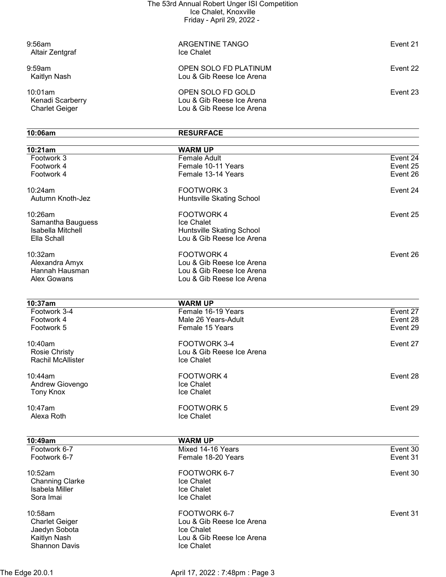| $9:56$ am<br>Altair Zentgraf                         | ARGENTINE TANGO<br>Ice Chalet                                               | Event 21 |
|------------------------------------------------------|-----------------------------------------------------------------------------|----------|
| $9:59$ am<br>Kaitlyn Nash                            | OPEN SOLO FD PLATINUM<br>Lou & Gib Reese Ice Arena                          | Event 22 |
| 10:01am<br>Kenadi Scarberry<br><b>Charlet Geiger</b> | OPEN SOLO FD GOLD<br>Lou & Gib Reese Ice Arena<br>Lou & Gib Reese Ice Arena | Event 23 |

| 10:06am                  | <b>RESURFACE</b>          |          |
|--------------------------|---------------------------|----------|
| 10:21am                  | <b>WARM UP</b>            |          |
| Footwork 3               | Female Adult              | Event 24 |
| Footwork 4               | Female 10-11 Years        | Event 25 |
| Footwork 4               | Female 13-14 Years        | Event 26 |
| 10:24am                  | <b>FOOTWORK3</b>          | Event 24 |
| Autumn Knoth-Jez         | Huntsville Skating School |          |
| 10:26am                  | FOOTWORK 4                | Event 25 |
| Samantha Bauguess        | Ice Chalet                |          |
| Isabella Mitchell        | Huntsville Skating School |          |
| Ella Schall              | Lou & Gib Reese Ice Arena |          |
| 10:32am                  | <b>FOOTWORK4</b>          | Event 26 |
| Alexandra Amyx           | Lou & Gib Reese Ice Arena |          |
| Hannah Hausman           | Lou & Gib Reese Ice Arena |          |
| Alex Gowans              | Lou & Gib Reese Ice Arena |          |
|                          |                           |          |
| 10:37am                  | <b>WARM UP</b>            |          |
| Footwork 3-4             | Female 16-19 Years        | Event 27 |
| Footwork 4               | Male 26 Years-Adult       | Event 28 |
| Footwork 5               | Female 15 Years           | Event 29 |
| 10:40am                  | FOOTWORK 3-4              | Event 27 |
| <b>Rosie Christy</b>     | Lou & Gib Reese Ice Arena |          |
| <b>Rachil McAllister</b> | Ice Chalet                |          |
| 10:44am                  | <b>FOOTWORK4</b>          | Event 28 |
| Andrew Giovengo          | Ice Chalet                |          |
| <b>Tony Knox</b>         | Ice Chalet                |          |
| 10:47am                  | <b>FOOTWORK 5</b>         | Event 29 |
| Alexa Roth               | Ice Chalet                |          |
|                          |                           |          |
| 10:49am                  | <b>WARM UP</b>            |          |
| Footwork 6-7             | Mixed 14-16 Years         | Event 30 |
| Footwork 6-7             | Female 18-20 Years        | Event 31 |
| 10:52am                  | FOOTWORK 6-7              | Event 30 |
| <b>Channing Clarke</b>   | Ice Chalet                |          |
| Isabela Miller           | Ice Chalet                |          |
| Sora Imai                | Ice Chalet                |          |
| 10:58am                  | FOOTWORK 6-7              | Event 31 |
| <b>Charlet Geiger</b>    | Lou & Gib Reese Ice Arena |          |
| Jaedyn Sobota            | Ice Chalet                |          |
| Kaitlyn Nash             | Lou & Gib Reese Ice Arena |          |
| Shannon Davis            | Ice Chalet                |          |

The Edge 20.0.1 **April 17, 2022 : 7:48pm : Page 3**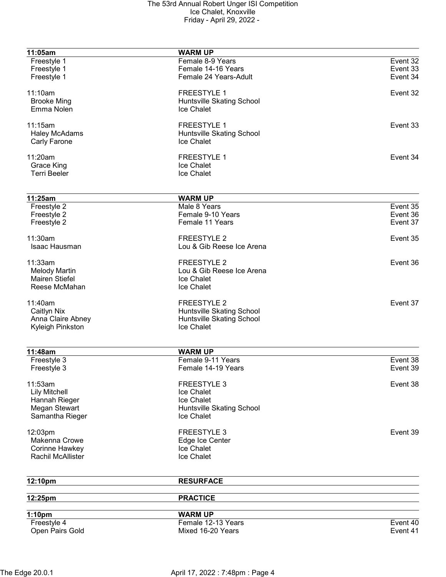| 11:05am                  | <b>WARM UP</b>            |          |
|--------------------------|---------------------------|----------|
| Freestyle 1              | Female 8-9 Years          | Event 32 |
| Freestyle 1              | Female 14-16 Years        | Event 33 |
| Freestyle 1              | Female 24 Years-Adult     | Event 34 |
|                          |                           |          |
| 11:10am                  | <b>FREESTYLE 1</b>        | Event 32 |
| <b>Brooke Ming</b>       | Huntsville Skating School |          |
| Emma Nolen               | Ice Chalet                |          |
|                          |                           |          |
| 11:15am                  | <b>FREESTYLE 1</b>        | Event 33 |
| <b>Haley McAdams</b>     | Huntsville Skating School |          |
|                          | Ice Chalet                |          |
| Carly Farone             |                           |          |
|                          |                           |          |
| 11:20am                  | <b>FREESTYLE 1</b>        | Event 34 |
| <b>Grace King</b>        | Ice Chalet                |          |
| <b>Terri Beeler</b>      | Ice Chalet                |          |
|                          |                           |          |
| 11:25am                  | <b>WARM UP</b>            |          |
| Freestyle 2              | Male 8 Years              | Event 35 |
|                          | Female 9-10 Years         | Event 36 |
| Freestyle 2              |                           |          |
| Freestyle 2              | Female 11 Years           | Event 37 |
|                          |                           |          |
| 11:30am                  | <b>FREESTYLE 2</b>        | Event 35 |
| Isaac Hausman            | Lou & Gib Reese Ice Arena |          |
|                          |                           |          |
| 11:33am                  | FREESTYLE 2               | Event 36 |
| <b>Melody Martin</b>     | Lou & Gib Reese Ice Arena |          |
| <b>Mairen Stiefel</b>    | Ice Chalet                |          |
| Reese McMahan            | Ice Chalet                |          |
|                          |                           |          |
| 11:40am                  | <b>FREESTYLE 2</b>        | Event 37 |
| Caitlyn Nix              | Huntsville Skating School |          |
| Anna Claire Abney        | Huntsville Skating School |          |
| Kyleigh Pinkston         | Ice Chalet                |          |
|                          |                           |          |
| 11:48am                  | <b>WARM UP</b>            |          |
|                          | Female 9-11 Years         | Event 38 |
| Freestyle 3              |                           |          |
| Freestyle 3              | Female 14-19 Years        | Event 39 |
|                          |                           |          |
| 11:53am                  | <b>FREESTYLE 3</b>        | Event 38 |
| <b>Lily Mitchell</b>     | Ice Chalet                |          |
| Hannah Rieger            | Ice Chalet                |          |
| Megan Stewart            | Huntsville Skating School |          |
| Samantha Rieger          | Ice Chalet                |          |
|                          |                           |          |
| 12:03pm                  | <b>FREESTYLE 3</b>        | Event 39 |
| Makenna Crowe            | Edge Ice Center           |          |
| Corinne Hawkey           | Ice Chalet                |          |
| <b>Rachil McAllister</b> | Ice Chalet                |          |
|                          |                           |          |
| 12:10pm                  | <b>RESURFACE</b>          |          |
|                          |                           |          |
| 12:25pm                  | <b>PRACTICE</b>           |          |
| 1:10pm                   | <b>WARM UP</b>            |          |
| Freestyle 4              | Female 12-13 Years        | Event 40 |
| Open Pairs Gold          | Mixed 16-20 Years         | Event 41 |
|                          |                           |          |
|                          |                           |          |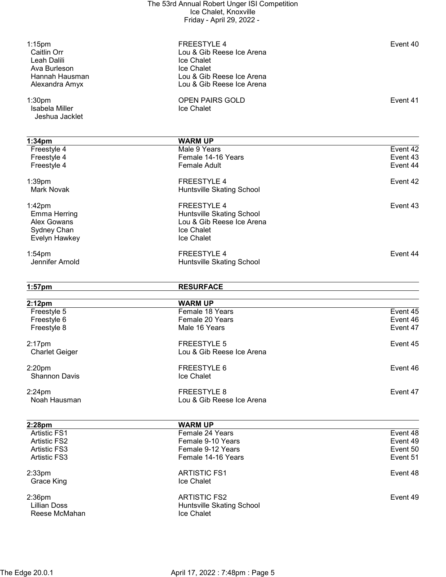| $1:15$ pm<br>Caitlin Orr<br>Leah Dalili<br>Ava Burleson<br>Hannah Hausman<br>Alexandra Amyx | <b>FREESTYLE 4</b><br>Lou & Gib Reese Ice Arena<br>Ice Chalet<br>Ice Chalet<br>Lou & Gib Reese Ice Arena<br>Lou & Gib Reese Ice Arena | Event 40             |
|---------------------------------------------------------------------------------------------|---------------------------------------------------------------------------------------------------------------------------------------|----------------------|
| 1:30 <sub>pm</sub><br>Isabela Miller<br>Jeshua Jacklet                                      | <b>OPEN PAIRS GOLD</b><br>Ice Chalet                                                                                                  | Event 41             |
|                                                                                             |                                                                                                                                       |                      |
| 1:34 <sub>pm</sub>                                                                          | <b>WARM UP</b>                                                                                                                        |                      |
| Freestyle 4                                                                                 | Male 9 Years                                                                                                                          | Event 42             |
| Freestyle 4                                                                                 | Female 14-16 Years                                                                                                                    | Event 43             |
| Freestyle 4                                                                                 | <b>Female Adult</b>                                                                                                                   | Event 44             |
| 1:39pm                                                                                      | <b>FREESTYLE 4</b>                                                                                                                    | Event 42             |
| <b>Mark Novak</b>                                                                           | Huntsville Skating School                                                                                                             |                      |
|                                                                                             |                                                                                                                                       |                      |
| $1:42$ pm                                                                                   | <b>FREESTYLE 4</b>                                                                                                                    | Event 43             |
| <b>Emma Herring</b>                                                                         | Huntsville Skating School                                                                                                             |                      |
| Alex Gowans                                                                                 | Lou & Gib Reese Ice Arena                                                                                                             |                      |
|                                                                                             | Ice Chalet                                                                                                                            |                      |
| Sydney Chan                                                                                 |                                                                                                                                       |                      |
| Evelyn Hawkey                                                                               | Ice Chalet                                                                                                                            |                      |
| $1:54$ pm                                                                                   | <b>FREESTYLE 4</b>                                                                                                                    | Event 44             |
| Jennifer Arnold                                                                             | Huntsville Skating School                                                                                                             |                      |
|                                                                                             |                                                                                                                                       |                      |
|                                                                                             |                                                                                                                                       |                      |
|                                                                                             | <b>RESURFACE</b>                                                                                                                      |                      |
| $1:57$ pm                                                                                   |                                                                                                                                       |                      |
| 2:12 <sub>pm</sub>                                                                          | <b>WARM UP</b>                                                                                                                        |                      |
| Freestyle 5                                                                                 | Female 18 Years                                                                                                                       | Event 45             |
|                                                                                             | Female 20 Years                                                                                                                       | Event 46             |
| Freestyle 6<br>Freestyle 8                                                                  | Male 16 Years                                                                                                                         | Event 47             |
|                                                                                             |                                                                                                                                       |                      |
| $2:17$ pm                                                                                   | <b>FREESTYLE 5</b>                                                                                                                    | Event 45             |
| <b>Charlet Geiger</b>                                                                       | Lou & Gib Reese Ice Arena                                                                                                             |                      |
|                                                                                             |                                                                                                                                       |                      |
| 2:20 <sub>pm</sub>                                                                          | FREESTYLE 6                                                                                                                           | Event 46             |
| <b>Shannon Davis</b>                                                                        | Ice Chalet                                                                                                                            |                      |
| $2:24$ pm                                                                                   | <b>FREESTYLE 8</b>                                                                                                                    | Event 47             |
| Noah Hausman                                                                                | Lou & Gib Reese Ice Arena                                                                                                             |                      |
|                                                                                             |                                                                                                                                       |                      |
|                                                                                             |                                                                                                                                       |                      |
| 2:28pm<br><b>Artistic FS1</b>                                                               | <b>WARM UP</b><br>Female 24 Years                                                                                                     | Event 48             |
|                                                                                             |                                                                                                                                       |                      |
| <b>Artistic FS2</b>                                                                         | Female 9-10 Years                                                                                                                     | Event 49             |
| <b>Artistic FS3</b><br><b>Artistic FS3</b>                                                  | Female 9-12 Years<br>Female 14-16 Years                                                                                               | Event 50<br>Event 51 |
|                                                                                             |                                                                                                                                       |                      |
|                                                                                             | <b>ARTISTIC FS1</b>                                                                                                                   | Event 48             |
| $2:33$ pm<br>Grace King                                                                     | Ice Chalet                                                                                                                            |                      |
|                                                                                             |                                                                                                                                       |                      |
| $2:36$ pm                                                                                   | <b>ARTISTIC FS2</b>                                                                                                                   | Event 49             |
| <b>Lillian Doss</b>                                                                         | Huntsville Skating School                                                                                                             |                      |
| Reese McMahan                                                                               | Ice Chalet                                                                                                                            |                      |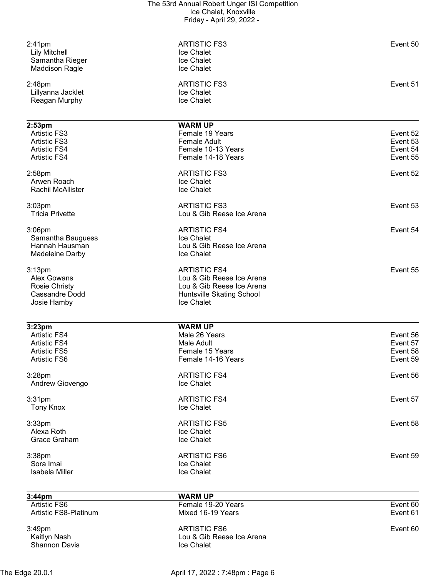| $2:41$ pm<br><b>Lily Mitchell</b><br>Samantha Rieger<br><b>Maddison Ragle</b> | <b>ARTISTIC FS3</b><br>Ice Chalet<br>Ice Chalet<br>Ice Chalet | Event 50 |
|-------------------------------------------------------------------------------|---------------------------------------------------------------|----------|
| 2:48pm<br>Lillyanna Jacklet<br>Reagan Murphy                                  | <b>ARTISTIC FS3</b><br>Ice Chalet<br>Ice Chalet               | Event 51 |
| 2:53 <sub>pm</sub>                                                            | <b>WARM UP</b>                                                |          |
| Artistic FS3                                                                  | Female 19 Years                                               | Event 52 |
| <b>Artistic FS3</b>                                                           | <b>Female Adult</b>                                           | Event 53 |
| <b>Artistic FS4</b>                                                           | Female 10-13 Years                                            | Event 54 |
| <b>Artistic FS4</b>                                                           | Female 14-18 Years                                            | Event 55 |
| $2:58$ pm                                                                     | <b>ARTISTIC FS3</b>                                           | Event 52 |
| Arwen Roach                                                                   | Ice Chalet                                                    |          |
| <b>Rachil McAllister</b>                                                      | Ice Chalet                                                    |          |
|                                                                               |                                                               |          |
| 3:03 <sub>pm</sub><br><b>Tricia Privette</b>                                  | <b>ARTISTIC FS3</b><br>Lou & Gib Reese Ice Arena              | Event 53 |
|                                                                               |                                                               |          |
| $3:06$ pm                                                                     | <b>ARTISTIC FS4</b>                                           | Event 54 |
| Samantha Bauguess                                                             | Ice Chalet                                                    |          |
| Hannah Hausman                                                                | Lou & Gib Reese Ice Arena                                     |          |
| Madeleine Darby                                                               | Ice Chalet                                                    |          |
| 3:13 <sub>pm</sub>                                                            | <b>ARTISTIC FS4</b>                                           | Event 55 |
| <b>Alex Gowans</b>                                                            | Lou & Gib Reese Ice Arena                                     |          |
| <b>Rosie Christy</b>                                                          | Lou & Gib Reese Ice Arena                                     |          |
| <b>Cassandre Dodd</b>                                                         | Huntsville Skating School                                     |          |
| Josie Hamby                                                                   | Ice Chalet                                                    |          |
|                                                                               |                                                               |          |
|                                                                               |                                                               |          |
|                                                                               | <b>WARM UP</b>                                                |          |
| 3:23 <sub>pm</sub><br><b>Artistic FS4</b>                                     | Male 26 Years                                                 | Event 56 |
| <b>Artistic FS4</b>                                                           | Male Adult                                                    | Event 57 |
| <b>Artistic FS5</b>                                                           | Female 15 Years                                               | Event 58 |
| <b>Artistic FS6</b>                                                           | Female 14-16 Years                                            | Event 59 |
|                                                                               |                                                               |          |
| 3:28pm<br>Andrew Giovengo                                                     | <b>ARTISTIC FS4</b><br>Ice Chalet                             | Event 56 |
|                                                                               |                                                               |          |
| 3:31pm                                                                        | <b>ARTISTIC FS4</b>                                           | Event 57 |
| <b>Tony Knox</b>                                                              | Ice Chalet                                                    |          |
| $3:33$ pm                                                                     | <b>ARTISTIC FS5</b>                                           | Event 58 |
| Alexa Roth                                                                    | Ice Chalet                                                    |          |
| Grace Graham                                                                  | Ice Chalet                                                    |          |
|                                                                               | <b>ARTISTIC FS6</b>                                           | Event 59 |
| 3:38pm<br>Sora Imai                                                           | Ice Chalet                                                    |          |
| Isabela Miller                                                                | Ice Chalet                                                    |          |
|                                                                               |                                                               |          |
| 3:44pm                                                                        | <b>WARM UP</b>                                                |          |
| <b>Artistic FS6</b>                                                           | Female 19-20 Years                                            | Event 60 |
| Artistic FS8-Platinum                                                         | Mixed 16-19 Years                                             | Event 61 |
| 3:49pm                                                                        | <b>ARTISTIC FS6</b>                                           | Event 60 |
| Kaitlyn Nash                                                                  | Lou & Gib Reese Ice Arena                                     |          |
| <b>Shannon Davis</b>                                                          | Ice Chalet                                                    |          |

The Edge 20.0.1 **April 17, 2022 : 7:48pm : Page 6**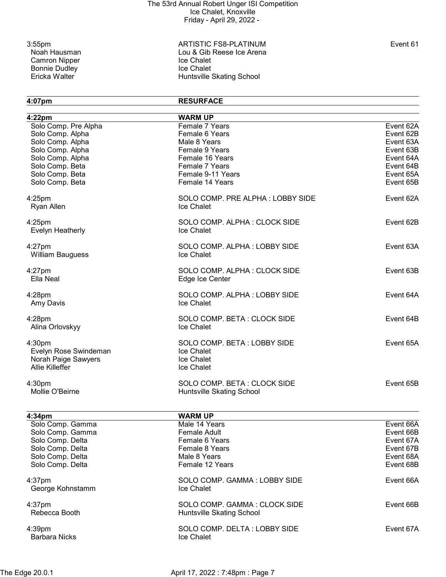Camron Nipper Ice Chalet<br>
Bonnie Dudley<br>
Ice Chalet Bonnie Dudley<br>Ericka Walter

3:55pm ARTISTIC FS8-PLATINUM Event 61 Lou & Gib Reese Ice Arena<br>Ice Chalet Huntsville Skating School

4:07pm RESURFACE

| 4:22pm                  | <b>WARM UP</b><br>Female 7 Years | Event 62A |
|-------------------------|----------------------------------|-----------|
| Solo Comp. Pre Alpha    |                                  |           |
| Solo Comp. Alpha        | Female 6 Years                   | Event 62B |
| Solo Comp. Alpha        | Male 8 Years                     | Event 63A |
| Solo Comp. Alpha        | Female 9 Years                   | Event 63B |
| Solo Comp. Alpha        | Female 16 Years                  | Event 64A |
| Solo Comp. Beta         | Female 7 Years                   | Event 64B |
| Solo Comp. Beta         | Female 9-11 Years                | Event 65A |
| Solo Comp. Beta         | Female 14 Years                  | Event 65B |
| $4:25$ pm               | SOLO COMP. PRE ALPHA: LOBBY SIDE | Event 62A |
| Ryan Allen              | Ice Chalet                       |           |
| $4:25$ pm               | SOLO COMP. ALPHA: CLOCK SIDE     | Event 62B |
| <b>Evelyn Heatherly</b> | Ice Chalet                       |           |
| $4:27$ pm               | SOLO COMP. ALPHA: LOBBY SIDE     | Event 63A |
| <b>William Bauguess</b> | Ice Chalet                       |           |
| $4:27$ pm               | SOLO COMP. ALPHA: CLOCK SIDE     | Event 63B |
| Ella Neal               | Edge Ice Center                  |           |
| 4:28pm                  | SOLO COMP. ALPHA: LOBBY SIDE     | Event 64A |
| Amy Davis               | Ice Chalet                       |           |
| $4:28$ pm               | SOLO COMP. BETA: CLOCK SIDE      | Event 64B |
| Alina Orlovskyy         | Ice Chalet                       |           |
| 4:30pm                  | SOLO COMP. BETA: LOBBY SIDE      | Event 65A |
| Evelyn Rose Swindeman   | Ice Chalet                       |           |
| Norah Paige Sawyers     | Ice Chalet                       |           |
| <b>Allie Killeffer</b>  | Ice Chalet                       |           |
| 4:30pm                  | SOLO COMP. BETA: CLOCK SIDE      | Event 65B |
| Mollie O'Beirne         | <b>Huntsville Skating School</b> |           |
|                         |                                  |           |
| 4:34pm                  | <b>WARM UP</b>                   |           |
| Solo Comp. Gamma        | Male 14 Years                    | Event 66A |
| Solo Comp. Gamma        | Female Adult                     | Event 66B |
| Solo Comp. Delta        | Female 6 Years                   | Event 67A |
| Solo Comp. Delta        | Female 8 Years                   | Event 67B |
| Solo Comp. Delta        | Male 8 Years                     | Event 68A |
| Solo Comp. Delta        | Female 12 Years                  | Event 68B |
| $4:37$ pm               | SOLO COMP. GAMMA: LOBBY SIDE     | Event 66A |
| George Kohnstamm        | Ice Chalet                       |           |
| $4:37$ pm               | SOLO COMP. GAMMA: CLOCK SIDE     | Event 66B |
| Rebecca Booth           | Huntsville Skating School        |           |
| $4:39$ pm               | SOLO COMP. DELTA: LOBBY SIDE     | Event 67A |
| <b>Barbara Nicks</b>    | Ice Chalet                       |           |
|                         |                                  |           |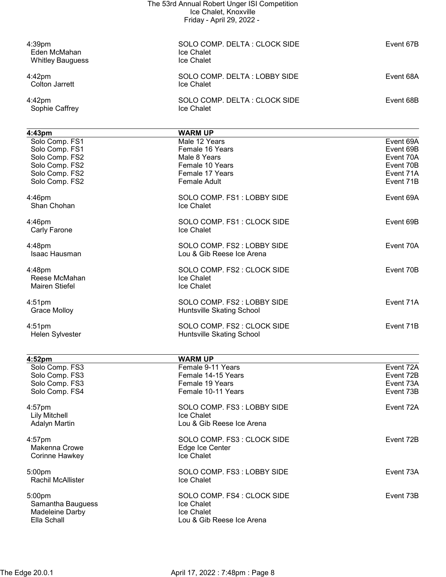|                                      | The 53rd Annual Robert Unger ISI Competition |           |
|--------------------------------------|----------------------------------------------|-----------|
|                                      | Ice Chalet, Knoxville                        |           |
|                                      | Friday - April 29, 2022 -                    |           |
|                                      |                                              |           |
| 4:39pm                               | SOLO COMP. DELTA: CLOCK SIDE                 | Event 67B |
| Eden McMahan                         | Ice Chalet                                   |           |
| <b>Whitley Bauguess</b>              | Ice Chalet                                   |           |
| 4:42pm                               | SOLO COMP. DELTA: LOBBY SIDE                 | Event 68A |
| Colton Jarrett                       | <b>Ice Chalet</b>                            |           |
| 4:42pm                               | SOLO COMP. DELTA: CLOCK SIDE                 | Event 68B |
| Sophie Caffrey                       | <b>Ice Chalet</b>                            |           |
|                                      |                                              |           |
| 4:43 <sub>pm</sub><br>Solo Comp. FS1 | <b>WARM UP</b><br>Male 12 Years              | Event 69A |
| Solo Comp. FS1                       | Female 16 Years                              | Event 69B |
| Solo Comp. FS2                       | Male 8 Years                                 | Event 70A |
| Solo Comp. FS2                       | Female 10 Years                              | Event 70B |
| Solo Comp. FS2                       | Female 17 Years                              | Event 71A |
| Solo Comp. FS2                       | <b>Female Adult</b>                          | Event 71B |
| 4:46pm                               | SOLO COMP. FS1: LOBBY SIDE                   | Event 69A |
| Shan Chohan                          | Ice Chalet                                   |           |
| 4:46pm                               | SOLO COMP. FS1: CLOCK SIDE                   | Event 69B |
| Carly Farone                         | Ice Chalet                                   |           |
| 4:48pm                               | SOLO COMP. FS2 : LOBBY SIDE                  | Event 70A |
| Isaac Hausman                        | Lou & Gib Reese Ice Arena                    |           |
| 4:48pm                               | SOLO COMP. FS2 : CLOCK SIDE                  | Event 70B |
| Reese McMahan                        | Ice Chalet                                   |           |
| <b>Mairen Stiefel</b>                | Ice Chalet                                   |           |
| $4:51$ pm                            | SOLO COMP. FS2: LOBBY SIDE                   | Event 71A |
| <b>Grace Molloy</b>                  | Huntsville Skating School                    |           |
| $4:51$ pm                            | SOLO COMP. FS2 : CLOCK SIDE                  | Event 71B |
| Helen Sylvester                      | Huntsville Skating School                    |           |
| 4:52pm                               | <b>WARM UP</b>                               |           |
| Solo Comp. FS3                       | Female 9-11 Years                            | Event 72A |
| Solo Comp. FS3                       | Female 14-15 Years                           | Event 72B |
| Solo Comp. FS3                       | Female 19 Years                              | Event 73A |
| Solo Comp. FS4                       | Female 10-11 Years                           | Event 73B |
|                                      |                                              |           |

Corinne Hawkey **Ice Chalet** 

Rachil McAllister

Samantha Bauguess **Internal Samantha Bauguess Ice Chalet** Madeleine Darby **Ice Chalet**<br>Ella Schall **International Communist Communist Communist Communist Communist Communist Communist Communist Comm** 

4:57pm SOLO COMP. FS3 : LOBBY SIDE Event 72A Lily Mitchell Ice Chalet Lou & Gib Reese Ice Arena 4:57pm SOLO COMP. FS3 : CLOCK SIDE Event 72B Makenna Crowe **Edge Ice Center** 5:00pm SOLO COMP. FS3 : LOBBY SIDE Event 73A 5:00pm SOLO COMP. FS4 : CLOCK SIDE Event 73B Lou & Gib Reese Ice Arena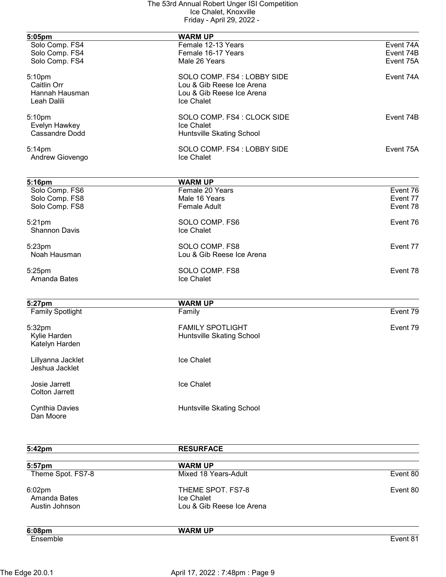| 5:05pm                  | <b>WARM UP</b>                   |           |
|-------------------------|----------------------------------|-----------|
| Solo Comp. FS4          | Female 12-13 Years               | Event 74A |
| Solo Comp. FS4          | Female 16-17 Years               | Event 74B |
| Solo Comp. FS4          | Male 26 Years                    | Event 75A |
| 5:10pm                  | SOLO COMP. FS4 : LOBBY SIDE      | Event 74A |
| Caitlin Orr             | Lou & Gib Reese Ice Arena        |           |
| Hannah Hausman          | Lou & Gib Reese Ice Arena        |           |
| Leah Dalili             | Ice Chalet                       |           |
| 5:10pm                  | SOLO COMP. FS4 : CLOCK SIDE      | Event 74B |
| Evelyn Hawkey           | Ice Chalet                       |           |
| <b>Cassandre Dodd</b>   | Huntsville Skating School        |           |
| $5:14$ pm               | SOLO COMP. FS4 : LOBBY SIDE      | Event 75A |
| Andrew Giovengo         | Ice Chalet                       |           |
| 5:16pm                  | <b>WARM UP</b>                   |           |
| Solo Comp. FS6          | Female 20 Years                  | Event 76  |
| Solo Comp. FS8          | Male 16 Years                    | Event 77  |
| Solo Comp. FS8          | <b>Female Adult</b>              | Event 78  |
| 5:21pm                  | SOLO COMP. FS6                   | Event 76  |
| <b>Shannon Davis</b>    | Ice Chalet                       |           |
| 5:23pm                  | SOLO COMP. FS8                   | Event 77  |
| Noah Hausman            | Lou & Gib Reese Ice Arena        |           |
| 5:25pm                  | SOLO COMP. FS8                   | Event 78  |
| Amanda Bates            | Ice Chalet                       |           |
| 5:27pm                  | <b>WARM UP</b>                   |           |
| <b>Family Spotlight</b> | Family                           | Event 79  |
| 5:32pm                  | <b>FAMILY SPOTLIGHT</b>          | Event 79  |
| Kylie Harden            | <b>Huntsville Skating School</b> |           |
| Katelyn Harden          |                                  |           |
| Lillyanna Jacklet       | Ice Chalet                       |           |
| Jeshua Jacklet          |                                  |           |
| Josie Jarrett           | Ice Chalet                       |           |
| <b>Colton Jarrett</b>   |                                  |           |
| <b>Cynthia Davies</b>   | Huntsville Skating School        |           |
| Dan Moore               |                                  |           |
|                         |                                  |           |

| 5:42pm                                   | <b>RESURFACE</b>                                             |          |
|------------------------------------------|--------------------------------------------------------------|----------|
| 5:57pm                                   | <b>WARM UP</b>                                               |          |
| Theme Spot. FS7-8                        | Mixed 18 Years-Adult                                         | Event 80 |
| 6:02pm<br>Amanda Bates<br>Austin Johnson | THEME SPOT. FS7-8<br>Ice Chalet<br>Lou & Gib Reese Ice Arena | Event 80 |
| 6:08pm<br>Ensemble                       | <b>WARM UP</b>                                               | Event 81 |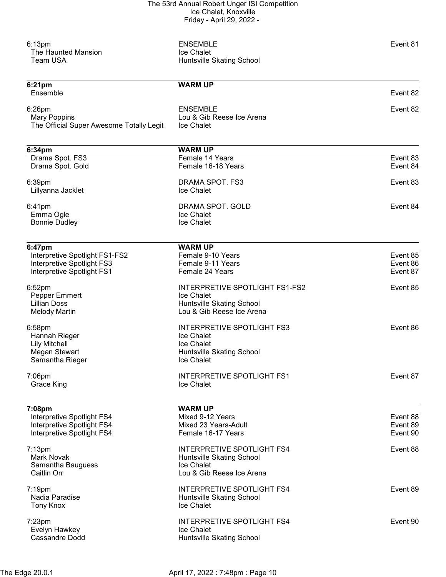| 6:13pm<br>The Haunted Mansion<br><b>Team USA</b>                          | <b>ENSEMBLE</b><br><b>Ice Chalet</b><br>Huntsville Skating School | Event 81 |
|---------------------------------------------------------------------------|-------------------------------------------------------------------|----------|
| 6:21pm                                                                    | <b>WARM UP</b>                                                    |          |
| Ensemble                                                                  |                                                                   | Event 82 |
| 6:26pm<br><b>Mary Poppins</b><br>The Official Super Awesome Totally Legit | <b>ENSEMBLE</b><br>Lou & Gib Reese Ice Arena<br>Ice Chalet        | Event 82 |
| 6:34pm                                                                    | <b>WARM UP</b>                                                    |          |
| Drama Spot. FS3                                                           | Female 14 Years                                                   | Event 83 |
| Drama Spot. Gold                                                          | Female 16-18 Years                                                | Event 84 |
| 6:39pm                                                                    | DRAMA SPOT. FS3                                                   | Event 83 |
| Lillyanna Jacklet                                                         | <b>Ice Chalet</b>                                                 |          |
|                                                                           | DRAMA SPOT. GOLD                                                  | Event 84 |
| 6:41pm<br>Emma Ogle                                                       | Ice Chalet                                                        |          |
| <b>Bonnie Dudley</b>                                                      | Ice Chalet                                                        |          |
|                                                                           |                                                                   |          |
| 6:47pm<br>Interpretive Spotlight FS1-FS2                                  | <b>WARM UP</b><br>Female 9-10 Years                               | Event 85 |
| Interpretive Spotlight FS3                                                | Female 9-11 Years                                                 | Event 86 |
| Interpretive Spotlight FS1                                                | Female 24 Years                                                   | Event 87 |
| 6:52pm                                                                    | INTERPRETIVE SPOTLIGHT FS1-FS2                                    | Event 85 |
| Pepper Emmert                                                             | Ice Chalet                                                        |          |
| <b>Lillian Doss</b>                                                       | Huntsville Skating School                                         |          |
| <b>Melody Martin</b>                                                      | Lou & Gib Reese Ice Arena                                         |          |
| 6:58pm                                                                    | <b>INTERPRETIVE SPOTLIGHT FS3</b>                                 | Event 86 |
| Hannah Rieger                                                             | <b>Ice Chalet</b>                                                 |          |
| <b>Lily Mitchell</b>                                                      | <b>Ice Chalet</b>                                                 |          |
| Megan Stewart                                                             | Huntsville Skating School                                         |          |
| Samantha Rieger                                                           | Ice Chalet                                                        |          |
| 7:06pm                                                                    | <b>INTERPRETIVE SPOTLIGHT FS1</b>                                 | Event 87 |
| <b>Grace King</b>                                                         | Ice Chalet                                                        |          |
| 7:08pm                                                                    | <b>WARM UP</b>                                                    |          |
| Interpretive Spotlight FS4                                                | Mixed 9-12 Years                                                  | Event 88 |
| Interpretive Spotlight FS4                                                | Mixed 23 Years-Adult                                              | Event 89 |
| Interpretive Spotlight FS4                                                | Female 16-17 Years                                                | Event 90 |
| 7:13pm                                                                    | <b>INTERPRETIVE SPOTLIGHT FS4</b>                                 | Event 88 |
| Mark Novak                                                                | Huntsville Skating School                                         |          |
| Samantha Bauguess                                                         | Ice Chalet                                                        |          |
| Caitlin Orr                                                               | Lou & Gib Reese Ice Arena                                         |          |
| 7:19pm                                                                    | INTERPRETIVE SPOTLIGHT FS4                                        | Event 89 |
| Nadia Paradise                                                            | Huntsville Skating School                                         |          |
| <b>Tony Knox</b>                                                          | Ice Chalet                                                        |          |
| $7:23$ pm                                                                 | <b>INTERPRETIVE SPOTLIGHT FS4</b>                                 | Event 90 |
| Evelyn Hawkey                                                             | Ice Chalet                                                        |          |
| <b>Cassandre Dodd</b>                                                     | Huntsville Skating School                                         |          |
|                                                                           |                                                                   |          |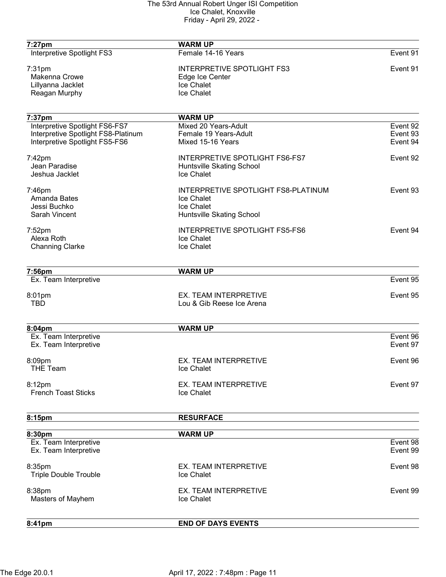| 7:27pm                              | <b>WARM UP</b>                        |          |
|-------------------------------------|---------------------------------------|----------|
| Interpretive Spotlight FS3          | Female 14-16 Years                    | Event 91 |
| $7:31$ pm                           | <b>INTERPRETIVE SPOTLIGHT FS3</b>     | Event 91 |
| Makenna Crowe                       | Edge Ice Center                       |          |
| Lillyanna Jacklet                   | Ice Chalet                            |          |
| Reagan Murphy                       | Ice Chalet                            |          |
| 7:37pm                              | <b>WARM UP</b>                        |          |
| Interpretive Spotlight FS6-FS7      | Mixed 20 Years-Adult                  | Event 92 |
| Interpretive Spotlight FS8-Platinum | Female 19 Years-Adult                 | Event 93 |
| Interpretive Spotlight FS5-FS6      | Mixed 15-16 Years                     | Event 94 |
| 7:42pm                              | <b>INTERPRETIVE SPOTLIGHT FS6-FS7</b> | Event 92 |
| Jean Paradise                       | Huntsville Skating School             |          |
| Jeshua Jacklet                      | Ice Chalet                            |          |
| 7:46pm                              | INTERPRETIVE SPOTLIGHT FS8-PLATINUM   | Event 93 |
| Amanda Bates                        | Ice Chalet                            |          |
| Jessi Buchko                        | Ice Chalet                            |          |
| <b>Sarah Vincent</b>                | Huntsville Skating School             |          |
| 7:52pm                              | <b>INTERPRETIVE SPOTLIGHT FS5-FS6</b> | Event 94 |
| Alexa Roth                          | Ice Chalet                            |          |
| <b>Channing Clarke</b>              | Ice Chalet                            |          |
| 7:56pm                              | <b>WARM UP</b>                        |          |
| Ex. Team Interpretive               |                                       | Event 95 |
| 8:01pm                              | EX. TEAM INTERPRETIVE                 | Event 95 |
| <b>TBD</b>                          | Lou & Gib Reese Ice Arena             |          |
|                                     |                                       |          |
| 8:04pm<br>Ex. Team Interpretive     | <b>WARM UP</b>                        | Event 96 |
| Ex. Team Interpretive               |                                       | Event 97 |
| 8:09pm                              | <b>EX. TEAM INTERPRETIVE</b>          | Event 96 |
| <b>THE Team</b>                     | Ice Chalet                            |          |
| 8:12pm                              | EX. TEAM INTERPRETIVE                 | Event 97 |
| <b>French Toast Sticks</b>          | Ice Chalet                            |          |
| 8:15pm                              | <b>RESURFACE</b>                      |          |
|                                     |                                       |          |
| 8:30pm<br>Ex. Team Interpretive     | <b>WARM UP</b>                        | Event 98 |
| Ex. Team Interpretive               |                                       | Event 99 |
| 8:35pm                              | EX. TEAM INTERPRETIVE                 | Event 98 |
| <b>Triple Double Trouble</b>        | Ice Chalet                            |          |
| 8:38pm                              | EX. TEAM INTERPRETIVE                 | Event 99 |
| Masters of Mayhem                   | Ice Chalet                            |          |
|                                     |                                       |          |
| 8:41pm                              | <b>END OF DAYS EVENTS</b>             |          |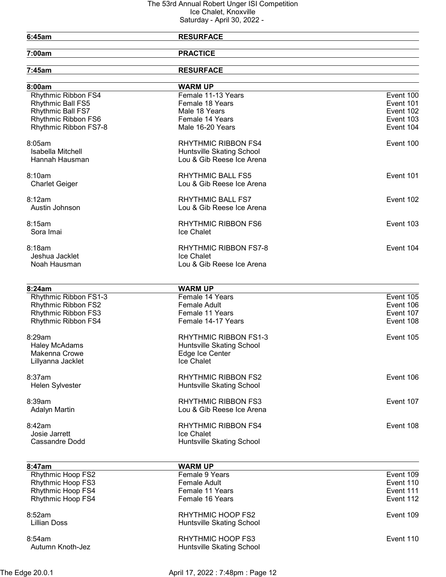# 6:45am RESURFACE

7:00am PRACTICE

| 7:45am                   | <b>RESURFACE</b>             |           |
|--------------------------|------------------------------|-----------|
| 8:00am                   | <b>WARM UP</b>               |           |
| Rhythmic Ribbon FS4      | Female 11-13 Years           | Event 100 |
| Rhythmic Ball FS5        | Female 18 Years              | Event 101 |
| Rhythmic Ball FS7        | Male 18 Years                | Event 102 |
| Rhythmic Ribbon FS6      | Female 14 Years              | Event 103 |
| Rhythmic Ribbon FS7-8    | Male 16-20 Years             | Event 104 |
| 8:05am                   | <b>RHYTHMIC RIBBON FS4</b>   | Event 100 |
| Isabella Mitchell        | Huntsville Skating School    |           |
| Hannah Hausman           | Lou & Gib Reese Ice Arena    |           |
| 8:10am                   | <b>RHYTHMIC BALL FS5</b>     | Event 101 |
| <b>Charlet Geiger</b>    | Lou & Gib Reese Ice Arena    |           |
| 8:12am                   | <b>RHYTHMIC BALL FS7</b>     | Event 102 |
| Austin Johnson           | Lou & Gib Reese Ice Arena    |           |
| 8:15am                   | <b>RHYTHMIC RIBBON FS6</b>   | Event 103 |
| Sora Imai                | Ice Chalet                   |           |
| 8:18am                   | <b>RHYTHMIC RIBBON FS7-8</b> | Event 104 |
| Jeshua Jacklet           | Ice Chalet                   |           |
| Noah Hausman             | Lou & Gib Reese Ice Arena    |           |
|                          |                              |           |
| 8:24am                   | <b>WARM UP</b>               |           |
| Rhythmic Ribbon FS1-3    | Female 14 Years              | Event 105 |
| Rhythmic Ribbon FS2      | <b>Female Adult</b>          | Event 106 |
| Rhythmic Ribbon FS3      | Female 11 Years              | Event 107 |
| Rhythmic Ribbon FS4      | Female 14-17 Years           | Event 108 |
| 8:29am                   | RHYTHMIC RIBBON FS1-3        | Event 105 |
| <b>Haley McAdams</b>     | Huntsville Skating School    |           |
| Makenna Crowe            | Edge Ice Center              |           |
| Lillyanna Jacklet        | Ice Chalet                   |           |
| 8:37am                   | <b>RHYTHMIC RIBBON FS2</b>   | Event 106 |
| Helen Sylvester          | Huntsville Skating School    |           |
| 8:39am                   | <b>RHYTHMIC RIBBON FS3</b>   | Event 107 |
| <b>Adalyn Martin</b>     | Lou & Gib Reese Ice Arena    |           |
| 8:42am                   | RHYTHMIC RIBBON FS4          | Event 108 |
| Josie Jarrett            | Ice Chalet                   |           |
| <b>Cassandre Dodd</b>    | Huntsville Skating School    |           |
| 8:47am                   | <b>WARM UP</b>               |           |
| <b>Rhythmic Hoop FS2</b> | Female 9 Years               | Event 109 |
|                          |                              |           |

| <b>Rhythmic Hoop FS2</b>   | Female 9 Years                                 | Event 109 |
|----------------------------|------------------------------------------------|-----------|
| <b>Rhythmic Hoop FS3</b>   | Female Adult                                   | Event 110 |
| <b>Rhythmic Hoop FS4</b>   | Female 11 Years                                | Event 111 |
| <b>Rhythmic Hoop FS4</b>   | Female 16 Years                                | Event 112 |
| 8:52am<br>Lillian Doss     | RHYTHMIC HOOP FS2<br>Huntsville Skating School | Event 109 |
| 8:54am<br>Autumn Knoth-Jez | RHYTHMIC HOOP FS3<br>Huntsville Skating School | Event 110 |
|                            |                                                |           |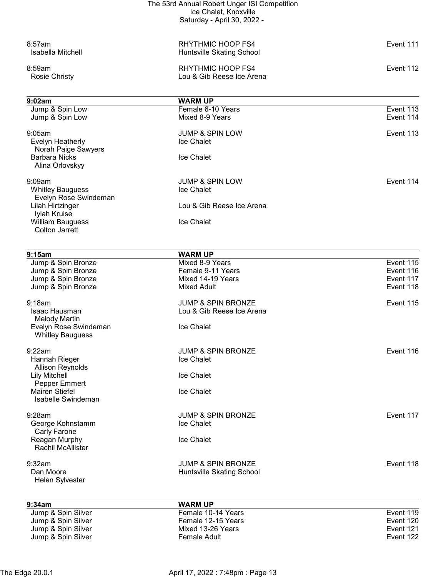| The 53rd Annual Robert Unger ISI Competition     |                                      |                        |
|--------------------------------------------------|--------------------------------------|------------------------|
|                                                  | Ice Chalet, Knoxville                |                        |
|                                                  | Saturday - April 30, 2022 -          |                        |
| 8:57am                                           | RHYTHMIC HOOP FS4                    | Event 111              |
| <b>Isabella Mitchell</b>                         | Huntsville Skating School            |                        |
| 8:59am                                           | RHYTHMIC HOOP FS4                    | Event 112              |
| <b>Rosie Christy</b>                             | Lou & Gib Reese Ice Arena            |                        |
|                                                  |                                      |                        |
| 9:02am                                           | <b>WARM UP</b>                       |                        |
| Jump & Spin Low<br>Jump & Spin Low               | Female 6-10 Years<br>Mixed 8-9 Years | Event 113<br>Event 114 |
|                                                  |                                      |                        |
| 9:05am                                           | <b>JUMP &amp; SPIN LOW</b>           | Event 113              |
| Evelyn Heatherly                                 | Ice Chalet                           |                        |
| Norah Paige Sawyers<br><b>Barbara Nicks</b>      | Ice Chalet                           |                        |
| Alina Orlovskyy                                  |                                      |                        |
| 9:09am                                           | <b>JUMP &amp; SPIN LOW</b>           | Event 114              |
| <b>Whitley Bauguess</b>                          | Ice Chalet                           |                        |
| Evelyn Rose Swindeman                            |                                      |                        |
| Lilah Hirtzinger                                 | Lou & Gib Reese Ice Arena            |                        |
| Iylah Kruise<br><b>William Bauguess</b>          | Ice Chalet                           |                        |
| <b>Colton Jarrett</b>                            |                                      |                        |
|                                                  |                                      |                        |
| 9:15am                                           | <b>WARM UP</b>                       |                        |
| Jump & Spin Bronze<br>Jump & Spin Bronze         | Mixed 8-9 Years<br>Female 9-11 Years | Event 115<br>Event 116 |
| Jump & Spin Bronze                               | Mixed 14-19 Years                    | Event 117              |
| Jump & Spin Bronze                               | <b>Mixed Adult</b>                   | Event 118              |
| 9:18am                                           | <b>JUMP &amp; SPIN BRONZE</b>        | Event 115              |
| Isaac Hausman                                    | Lou & Gib Reese Ice Arena            |                        |
| Melody Martin                                    | Ice Chalet                           |                        |
| Evelyn Rose Swindeman<br><b>Whitley Bauguess</b> |                                      |                        |
| 9:22am                                           | <b>JUMP &amp; SPIN BRONZE</b>        | Event 116              |
| Hannah Rieger                                    | Ice Chalet                           |                        |
| <b>Allison Reynolds</b>                          |                                      |                        |
| <b>Lily Mitchell</b><br>Pepper Emmert            | Ice Chalet                           |                        |
| Mairen Stiefel                                   | <b>Ice Chalet</b>                    |                        |
| Isabelle Swindeman                               |                                      |                        |
| 9:28am                                           | <b>JUMP &amp; SPIN BRONZE</b>        | Event 117              |
| George Kohnstamm                                 | Ice Chalet                           |                        |
| Carly Farone                                     |                                      |                        |
| Reagan Murphy<br><b>Rachil McAllister</b>        | Ice Chalet                           |                        |
| 9:32am                                           | <b>JUMP &amp; SPIN BRONZE</b>        | Event 118              |
| Dan Moore                                        | Huntsville Skating School            |                        |
| Helen Sylvester                                  |                                      |                        |
|                                                  |                                      |                        |
| 9:34am<br>Jump & Spin Silver                     | <b>WARM UP</b><br>Female 10-14 Years | Event 119              |
| Jump & Spin Silver                               | Female 12-15 Years                   | Event 120              |
| Jump & Spin Silver                               | Mixed 13-26 Years                    | Event 121              |

Jump & Spin Silver Female Adult Event 122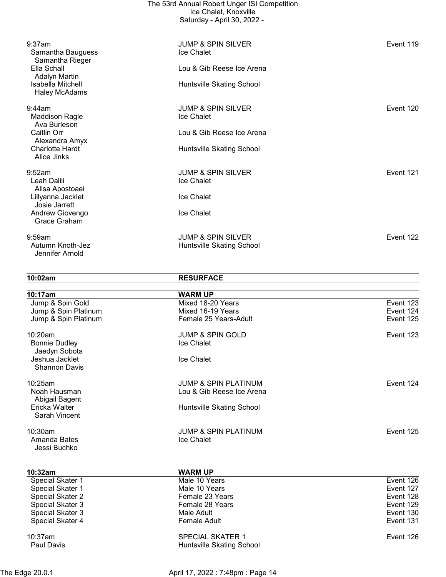|                                                 | The 53rd Annual Robert Unger ISI Competition<br>Ice Chalet, Knoxville<br>Saturday - April 30, 2022 - |           |
|-------------------------------------------------|------------------------------------------------------------------------------------------------------|-----------|
| 9:37am<br>Samantha Bauguess<br>Samantha Rieger  | <b>JUMP &amp; SPIN SILVER</b><br>Ice Chalet                                                          | Event 119 |
| Ella Schall<br>Adalyn Martin                    | Lou & Gib Reese Ice Arena                                                                            |           |
| Isabella Mitchell<br><b>Haley McAdams</b>       | Huntsville Skating School                                                                            |           |
| 9:44am<br><b>Maddison Ragle</b><br>Ava Burleson | <b>JUMP &amp; SPIN SILVER</b><br>Ice Chalet                                                          | Event 120 |
| Caitlin Orr<br>Alexandra Amyx                   | Lou & Gib Reese Ice Arena                                                                            |           |
| <b>Charlotte Hardt</b><br>Alice Jinks           | Huntsville Skating School                                                                            |           |
| 9:52am<br>Leah Dalili<br>Alisa Apostoaei        | <b>JUMP &amp; SPIN SILVER</b><br>Ice Chalet                                                          | Event 121 |
| Lillyanna Jacklet<br>Josie Jarrett              | Ice Chalet                                                                                           |           |
| Andrew Giovengo<br>Grace Graham                 | Ice Chalet                                                                                           |           |
| 9:59am<br>Autumn Knoth-Jez<br>Jennifer Arnold   | <b>JUMP &amp; SPIN SILVER</b><br>Huntsville Skating School                                           | Event 122 |

10:02am RESURFACE

| 10:17am                                          | <b>WARM UP</b>                            |           |
|--------------------------------------------------|-------------------------------------------|-----------|
| Jump & Spin Gold                                 | Mixed 18-20 Years                         | Event 123 |
| Jump & Spin Platinum                             | Mixed 16-19 Years                         | Event 124 |
| Jump & Spin Platinum                             | Female 25 Years-Adult                     | Event 125 |
| 10:20am<br><b>Bonnie Dudley</b><br>Jaedyn Sobota | <b>JUMP &amp; SPIN GOLD</b><br>Ice Chalet | Event 123 |
| Jeshua Jacklet<br><b>Shannon Davis</b>           | Ice Chalet                                |           |
| 10:25am                                          | <b>JUMP &amp; SPIN PLATINUM</b>           | Event 124 |
| Noah Hausman<br>Abigail Bagent                   | Lou & Gib Reese Ice Arena                 |           |
| Ericka Walter<br>Sarah Vincent                   | Huntsville Skating School                 |           |
| $10:30$ am                                       | <b>JUMP &amp; SPIN PLATINUM</b>           | Event 125 |
| Amanda Bates<br>Jessi Buchko                     | Ice Chalet                                |           |

| 10:32am           | <b>WARM UP</b>            |           |
|-------------------|---------------------------|-----------|
| Special Skater 1  | Male 10 Years             | Event 126 |
| Special Skater 1  | Male 10 Years             | Event 127 |
| Special Skater 2  | Female 23 Years           | Event 128 |
| Special Skater 3  | Female 28 Years           | Event 129 |
| Special Skater 3  | Male Adult                | Event 130 |
| Special Skater 4  | Female Adult              | Event 131 |
| $10:37$ am        | <b>SPECIAL SKATER 1</b>   | Event 126 |
| <b>Paul Davis</b> | Huntsville Skating School |           |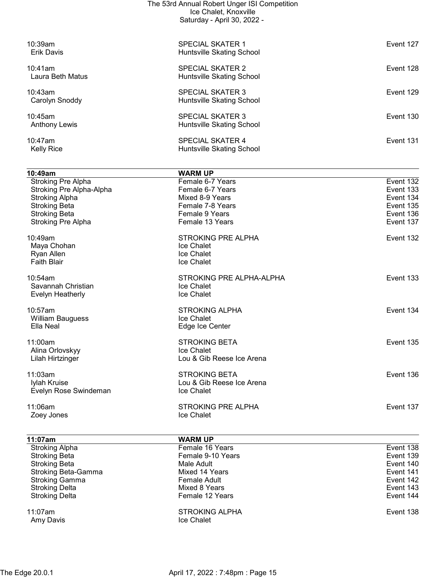|                                 | The 53rd Annual Robert Unger ISI Competition<br>Ice Chalet, Knoxville<br>Saturday - April 30, 2022 - |           |
|---------------------------------|------------------------------------------------------------------------------------------------------|-----------|
| 10:39am<br>Erik Davis           | <b>SPECIAL SKATER 1</b><br>Huntsville Skating School                                                 | Event 127 |
| 10:41am<br>Laura Beth Matus     | <b>SPECIAL SKATER 2</b><br>Huntsville Skating School                                                 | Event 128 |
| 10:43am<br>Carolyn Snoddy       | <b>SPECIAL SKATER 3</b><br>Huntsville Skating School                                                 | Event 129 |
| 10:45am<br><b>Anthony Lewis</b> | SPECIAL SKATER 3<br>Huntsville Skating School                                                        | Event 130 |
| $10:47$ am<br><b>Kelly Rice</b> | <b>SPECIAL SKATER 4</b><br>Huntsville Skating School                                                 | Event 131 |

| 10:49am                   | <b>WARM UP</b>            |           |
|---------------------------|---------------------------|-----------|
| <b>Stroking Pre Alpha</b> | Female 6-7 Years          | Event 132 |
| Stroking Pre Alpha-Alpha  | Female 6-7 Years          | Event 133 |
| <b>Stroking Alpha</b>     | Mixed 8-9 Years           | Event 134 |
| <b>Stroking Beta</b>      | Female 7-8 Years          | Event 135 |
| <b>Stroking Beta</b>      | Female 9 Years            | Event 136 |
| <b>Stroking Pre Alpha</b> | Female 13 Years           | Event 137 |
| 10:49am                   | <b>STROKING PRE ALPHA</b> | Event 132 |
| Maya Chohan               | Ice Chalet                |           |
| Ryan Allen                | Ice Chalet                |           |
| <b>Faith Blair</b>        | Ice Chalet                |           |
| 10:54am                   | STROKING PRE ALPHA-ALPHA  | Event 133 |
| Savannah Christian        | Ice Chalet                |           |
| Evelyn Heatherly          | Ice Chalet                |           |
| 10:57am                   | <b>STROKING ALPHA</b>     | Event 134 |
| <b>William Bauguess</b>   | Ice Chalet                |           |
| Ella Neal                 | Edge Ice Center           |           |
| 11:00am                   | <b>STROKING BETA</b>      | Event 135 |
| Alina Orlovskyy           | Ice Chalet                |           |
| Lilah Hirtzinger          | Lou & Gib Reese Ice Arena |           |
| 11:03am                   | <b>STROKING BETA</b>      | Event 136 |
| Iylah Kruise              | Lou & Gib Reese Ice Arena |           |
| Evelyn Rose Swindeman     | Ice Chalet                |           |
| 11:06am                   | <b>STROKING PRE ALPHA</b> | Event 137 |
| Zoey Jones                | Ice Chalet                |           |
|                           |                           |           |

| 11:07am               | <b>WARM UP</b>                      |           |
|-----------------------|-------------------------------------|-----------|
| <b>Stroking Alpha</b> | Female 16 Years                     | Event 138 |
| <b>Stroking Beta</b>  | Female 9-10 Years                   | Event 139 |
| <b>Stroking Beta</b>  | Male Adult                          | Event 140 |
| Stroking Beta-Gamma   | Mixed 14 Years                      | Event 141 |
| <b>Stroking Gamma</b> | Female Adult                        | Event 142 |
| <b>Stroking Delta</b> | Mixed 8 Years                       | Event 143 |
| <b>Stroking Delta</b> | Female 12 Years                     | Event 144 |
| 11:07am<br>Amy Davis  | <b>STROKING ALPHA</b><br>Ice Chalet | Event 138 |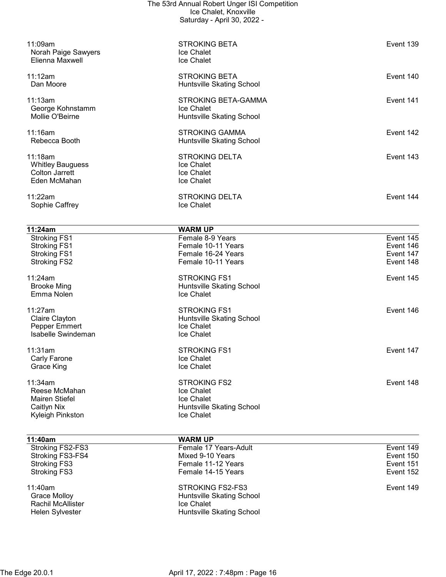| 11:09am<br>Norah Paige Sawyers<br>Elienna Maxwell                                  | <b>STROKING BETA</b><br>Ice Chalet<br>Ice Chalet                                                | Event 139                                        |
|------------------------------------------------------------------------------------|-------------------------------------------------------------------------------------------------|--------------------------------------------------|
| 11:12am<br>Dan Moore                                                               | <b>STROKING BETA</b><br>Huntsville Skating School                                               | Event 140                                        |
| 11:13am<br>George Kohnstamm<br>Mollie O'Beirne                                     | STROKING BETA-GAMMA<br>Ice Chalet<br>Huntsville Skating School                                  | Event 141                                        |
| 11:16am<br>Rebecca Booth                                                           | <b>STROKING GAMMA</b><br>Huntsville Skating School                                              | Event 142                                        |
| 11:18am<br><b>Whitley Bauguess</b><br>Colton Jarrett<br>Eden McMahan               | <b>STROKING DELTA</b><br>Ice Chalet<br>Ice Chalet<br>Ice Chalet                                 | Event 143                                        |
| 11:22am<br>Sophie Caffrey                                                          | <b>STROKING DELTA</b><br>Ice Chalet                                                             | Event 144                                        |
| 11:24am                                                                            | <b>WARM UP</b>                                                                                  |                                                  |
| <b>Stroking FS1</b>                                                                | Female 8-9 Years                                                                                | Event 145                                        |
| <b>Stroking FS1</b><br><b>Stroking FS1</b>                                         | Female 10-11 Years<br>Female 16-24 Years                                                        | Event 146<br>Event 147                           |
| <b>Stroking FS2</b>                                                                | Female 10-11 Years                                                                              | Event 148                                        |
| 11:24am<br><b>Brooke Ming</b><br>Emma Nolen                                        | <b>STROKING FS1</b><br>Huntsville Skating School<br>Ice Chalet                                  | Event 145                                        |
| 11:27am<br><b>Claire Clayton</b><br>Pepper Emmert<br>Isabelle Swindeman            | <b>STROKING FS1</b><br>Huntsville Skating School<br>Ice Chalet<br>Ice Chalet                    | Event 146                                        |
| 11:31am<br>Carly Farone<br>Grace King                                              | <b>STROKING FS1</b><br>Ice Chalet<br>Ice Chalet                                                 | Event 147                                        |
| 11:34am<br>Reese McMahan<br>Mairen Stiefel<br>Caitlyn Nix<br>Kyleigh Pinkston      | <b>STROKING FS2</b><br>Ice Chalet<br>Ice Chalet<br>Huntsville Skating School<br>Ice Chalet      | Event 148                                        |
| 11:40am                                                                            | <b>WARM UP</b>                                                                                  |                                                  |
| Stroking FS2-FS3<br>Stroking FS3-FS4<br><b>Stroking FS3</b><br><b>Stroking FS3</b> | Female 17 Years-Adult<br>Mixed 9-10 Years<br>Female 11-12 Years<br>Female 14-15 Years           | Event 149<br>Event 150<br>Event 151<br>Event 152 |
| 11:40am<br><b>Grace Molloy</b><br>Rachil McAllister<br>Helen Sylvester             | <b>STROKING FS2-FS3</b><br>Huntsville Skating School<br>Ice Chalet<br>Huntsville Skating School | Event 149                                        |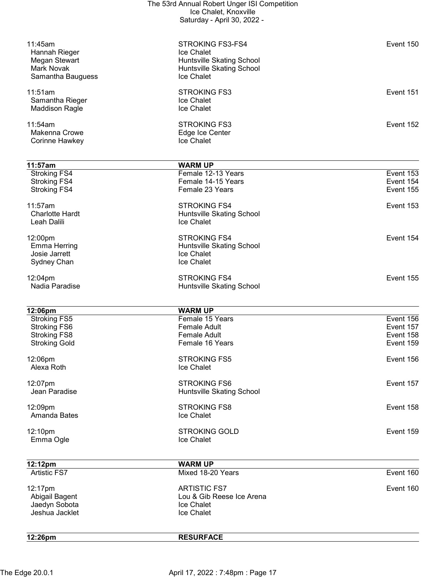| 12:26pm                                     | <b>RESURFACE</b>                                       |                        |
|---------------------------------------------|--------------------------------------------------------|------------------------|
|                                             |                                                        |                        |
| Jaedyn Sobota<br>Jeshua Jacklet             | Ice Chalet<br>Ice Chalet                               |                        |
| Abigail Bagent                              | Lou & Gib Reese Ice Arena                              |                        |
| 12:17pm                                     | <b>ARTISTIC FS7</b>                                    | Event 160              |
| <b>Artistic FS7</b>                         | Mixed 18-20 Years                                      | Event 160              |
| 12:12pm                                     | <b>WARM UP</b>                                         |                        |
|                                             |                                                        |                        |
| Emma Ogle                                   | Ice Chalet                                             |                        |
| 12:10pm                                     | <b>STROKING GOLD</b>                                   | Event 159              |
| Amanda Bates                                | Ice Chalet                                             |                        |
| 12:09pm                                     | <b>STROKING FS8</b>                                    | Event 158              |
| Jean Paradise                               | <b>Huntsville Skating School</b>                       |                        |
| 12:07pm                                     | <b>STROKING FS6</b>                                    | Event 157              |
|                                             |                                                        |                        |
| 12:06pm<br>Alexa Roth                       | <b>STROKING FS5</b><br>Ice Chalet                      | Event 156              |
|                                             |                                                        |                        |
| <b>Stroking FS8</b><br><b>Stroking Gold</b> | <b>Female Adult</b><br>Female 16 Years                 | Event 158<br>Event 159 |
| <b>Stroking FS6</b>                         | <b>Female Adult</b>                                    | Event 157              |
| <b>Stroking FS5</b>                         | Female 15 Years                                        | Event 156              |
| 12:06pm                                     | <b>WARM UP</b>                                         |                        |
|                                             |                                                        |                        |
| 12:04pm<br>Nadia Paradise                   | <b>STROKING FS4</b><br>Huntsville Skating School       | Event 155              |
|                                             |                                                        |                        |
| Sydney Chan                                 | Ice Chalet                                             |                        |
| <b>Emma Herring</b><br>Josie Jarrett        | Huntsville Skating School<br>Ice Chalet                |                        |
| 12:00pm                                     | <b>STROKING FS4</b>                                    | Event 154              |
|                                             |                                                        |                        |
| <b>Charlotte Hardt</b><br>Leah Dalili       | Huntsville Skating School<br>Ice Chalet                |                        |
| 11:57am                                     | <b>STROKING FS4</b>                                    | Event 153              |
|                                             |                                                        |                        |
| <b>Stroking FS4</b><br><b>Stroking FS4</b>  | Female 14-15 Years<br>Female 23 Years                  | Event 154<br>Event 155 |
| <b>Stroking FS4</b>                         | Female 12-13 Years                                     | Event 153              |
| 11:57am                                     | <b>WARM UP</b>                                         |                        |
|                                             |                                                        |                        |
| Corinne Hawkey                              | Ice Chalet                                             |                        |
| Makenna Crowe                               | Edge Ice Center                                        |                        |
| 11:54am                                     | <b>STROKING FS3</b>                                    | Event 152              |
| <b>Maddison Ragle</b>                       | Ice Chalet                                             |                        |
| 11:51am<br>Samantha Rieger                  | <b>STROKING FS3</b><br>Ice Chalet                      | Event 151              |
|                                             |                                                        |                        |
| Samantha Bauguess                           | Ice Chalet                                             |                        |
| Megan Stewart<br>Mark Novak                 | Huntsville Skating School<br>Huntsville Skating School |                        |
| Hannah Rieger                               | Ice Chalet                                             |                        |
| 11:45am                                     | STROKING FS3-FS4                                       | Event 150              |
|                                             |                                                        |                        |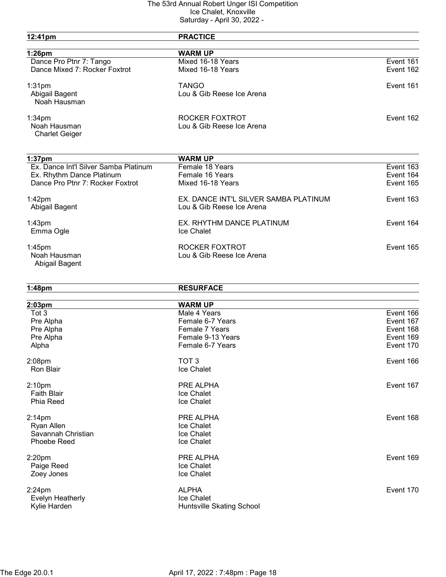| 12:41pm                               | <b>PRACTICE</b>                       |           |
|---------------------------------------|---------------------------------------|-----------|
| 1:26pm                                | <b>WARM UP</b>                        |           |
| Dance Pro Ptnr 7: Tango               | Mixed 16-18 Years                     | Event 161 |
| Dance Mixed 7: Rocker Foxtrot         | Mixed 16-18 Years                     | Event 162 |
| $1:31$ pm                             | <b>TANGO</b>                          | Event 161 |
| Abigail Bagent                        | Lou & Gib Reese Ice Arena             |           |
| Noah Hausman                          |                                       |           |
| $1:34$ pm                             | ROCKER FOXTROT                        | Event 162 |
| Noah Hausman                          | Lou & Gib Reese Ice Arena             |           |
| <b>Charlet Geiger</b>                 |                                       |           |
| 1:37 <sub>pm</sub>                    | <b>WARM UP</b>                        |           |
| Ex. Dance Int'l Silver Samba Platinum | Female 18 Years                       | Event 163 |
| Ex. Rhythm Dance Platinum             | Female 16 Years                       | Event 164 |
| Dance Pro Ptnr 7: Rocker Foxtrot      | Mixed 16-18 Years                     | Event 165 |
| $1:42$ pm                             | EX. DANCE INT'L SILVER SAMBA PLATINUM | Event 163 |
| Abigail Bagent                        | Lou & Gib Reese Ice Arena             |           |
| 1:43 <sub>pm</sub>                    | EX. RHYTHM DANCE PLATINUM             | Event 164 |
| Emma Ogle                             | Ice Chalet                            |           |
| $1:45$ pm                             | <b>ROCKER FOXTROT</b>                 | Event 165 |
| Noah Hausman                          | Lou & Gib Reese Ice Arena             |           |
| Abigail Bagent                        |                                       |           |
| 1:48 <sub>pm</sub>                    | <b>RESURFACE</b>                      |           |
| 2:03pm                                | <b>WARM UP</b>                        |           |
| Tot 3                                 | Male 4 Years                          | Event 166 |
| Pre Alpha                             | Female 6-7 Years                      | Event 167 |
| Pre Alpha                             | Female 7 Years                        | Event 168 |
| Pre Alpha                             | Female 9-13 Years                     | Event 169 |
| Alpha                                 | Female 6-7 Years                      | Event 170 |
| 2:08pm                                | TOT <sub>3</sub>                      | Event 166 |
| Ron Blair                             | Ice Chalet                            |           |
| 2:10 <sub>pm</sub>                    | PRE ALPHA                             | Event 167 |
| <b>Faith Blair</b>                    | Ice Chalet                            |           |
| <b>Phia Reed</b>                      | Ice Chalet                            |           |
| $2:14$ pm                             | PRE ALPHA                             | Event 168 |
| Ryan Allen                            | Ice Chalet                            |           |
| Savannah Christian                    | Ice Chalet                            |           |
| Phoebe Reed                           | Ice Chalet                            |           |
| 2:20pm                                | PRE ALPHA                             | Event 169 |
| Paige Reed                            | Ice Chalet                            |           |
| Zoey Jones                            | Ice Chalet                            |           |
| $2:24$ pm                             | <b>ALPHA</b>                          | Event 170 |
| Evelyn Heatherly                      | Ice Chalet                            |           |
| Kylie Harden                          | Huntsville Skating School             |           |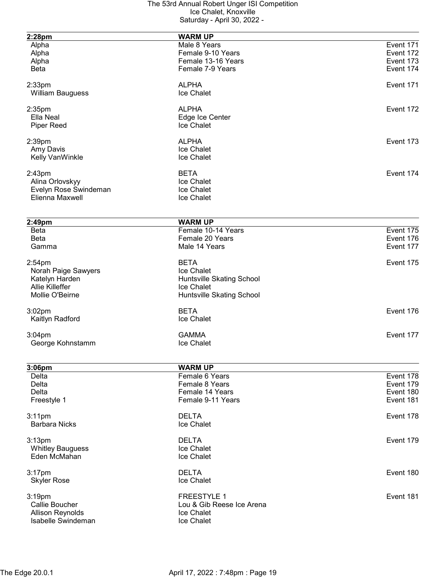| 2:28pm                  | <b>WARM UP</b>                       |           |
|-------------------------|--------------------------------------|-----------|
| Alpha                   | Male 8 Years                         | Event 171 |
| Alpha                   | Female 9-10 Years                    | Event 172 |
| Alpha                   | Female 13-16 Years                   | Event 173 |
| <b>Beta</b>             | Female 7-9 Years                     | Event 174 |
|                         |                                      |           |
| $2:33$ pm               | <b>ALPHA</b>                         | Event 171 |
| <b>William Bauguess</b> | Ice Chalet                           |           |
| $2:35$ pm               | <b>ALPHA</b>                         | Event 172 |
| Ella Neal               | Edge Ice Center                      |           |
| <b>Piper Reed</b>       | Ice Chalet                           |           |
|                         |                                      |           |
| 2:39pm                  | <b>ALPHA</b>                         | Event 173 |
| Amy Davis               | Ice Chalet                           |           |
| Kelly VanWinkle         | Ice Chalet                           |           |
| 2:43 <sub>pm</sub>      | <b>BETA</b>                          | Event 174 |
| Alina Orlovskyy         | Ice Chalet                           |           |
| Evelyn Rose Swindeman   | Ice Chalet                           |           |
| Elienna Maxwell         | Ice Chalet                           |           |
|                         |                                      |           |
|                         |                                      |           |
| 2:49pm<br><b>Beta</b>   | <b>WARM UP</b><br>Female 10-14 Years | Event 175 |
| <b>Beta</b>             | Female 20 Years                      | Event 176 |
| Gamma                   | Male 14 Years                        | Event 177 |
|                         |                                      |           |
| $2:54$ pm               | <b>BETA</b>                          | Event 175 |
| Norah Paige Sawyers     | Ice Chalet                           |           |
| Katelyn Harden          | Huntsville Skating School            |           |
| Allie Killeffer         | Ice Chalet                           |           |
| Mollie O'Beirne         | Huntsville Skating School            |           |
| 3:02 <sub>pm</sub>      | <b>BETA</b>                          | Event 176 |
| Kaitlyn Radford         | Ice Chalet                           |           |
|                         |                                      |           |
| $3:04$ pm               | <b>GAMMA</b>                         | Event 177 |
| George Kohnstamm        | Ice Chalet                           |           |
|                         |                                      |           |
| 3:06pm                  | <b>WARM UP</b>                       |           |
| Delta                   | Female 6 Years                       | Event 178 |
| Delta                   | Female 8 Years                       | Event 179 |
| Delta                   | Female 14 Years                      | Event 180 |
| Freestyle 1             | Female 9-11 Years                    | Event 181 |
| $3:11$ pm               | <b>DELTA</b>                         | Event 178 |
| <b>Barbara Nicks</b>    | Ice Chalet                           |           |
| 3:13 <sub>pm</sub>      | <b>DELTA</b>                         | Event 179 |
| <b>Whitley Bauguess</b> | Ice Chalet                           |           |
| Eden McMahan            | Ice Chalet                           |           |
|                         |                                      |           |
| $3:17$ pm               | <b>DELTA</b>                         | Event 180 |
| <b>Skyler Rose</b>      | Ice Chalet                           |           |
|                         |                                      |           |
| 3:19pm                  | <b>FREESTYLE 1</b>                   | Event 181 |
| Callie Boucher          | Lou & Gib Reese Ice Arena            |           |
| <b>Allison Reynolds</b> | Ice Chalet                           |           |
| Isabelle Swindeman      | Ice Chalet                           |           |
|                         |                                      |           |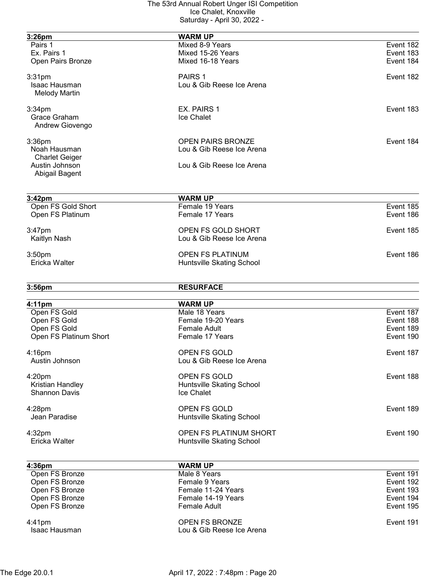| 3:26pm                           | <b>WARM UP</b>                                        |           |
|----------------------------------|-------------------------------------------------------|-----------|
| Pairs 1                          | Mixed 8-9 Years                                       | Event 182 |
| Ex. Pairs 1                      | Mixed 15-26 Years                                     | Event 183 |
| Open Pairs Bronze                | Mixed 16-18 Years                                     | Event 184 |
|                                  |                                                       |           |
| 3:31 <sub>pm</sub>               | PAIRS 1                                               | Event 182 |
| Isaac Hausman                    | Lou & Gib Reese Ice Arena                             |           |
| <b>Melody Martin</b>             |                                                       |           |
| 3:34 <sub>pm</sub>               | EX. PAIRS 1                                           | Event 183 |
| Grace Graham                     | <b>Ice Chalet</b>                                     |           |
| Andrew Giovengo                  |                                                       |           |
|                                  |                                                       |           |
| $3:36$ pm<br>Noah Hausman        | <b>OPEN PAIRS BRONZE</b><br>Lou & Gib Reese Ice Arena | Event 184 |
| <b>Charlet Geiger</b>            |                                                       |           |
| Austin Johnson                   | Lou & Gib Reese Ice Arena                             |           |
| Abigail Bagent                   |                                                       |           |
|                                  |                                                       |           |
| 3:42 <sub>pm</sub>               | <b>WARM UP</b>                                        |           |
| Open FS Gold Short               | Female 19 Years                                       | Event 185 |
| Open FS Platinum                 | Female 17 Years                                       | Event 186 |
| $3:47$ pm                        | OPEN FS GOLD SHORT                                    | Event 185 |
| Kaitlyn Nash                     | Lou & Gib Reese Ice Arena                             |           |
|                                  |                                                       |           |
| 3:50 <sub>pm</sub>               | <b>OPEN FS PLATINUM</b>                               | Event 186 |
| Ericka Walter                    | Huntsville Skating School                             |           |
|                                  |                                                       |           |
| 3:56pm                           | <b>RESURFACE</b>                                      |           |
| 4:11 <sub>pm</sub>               | <b>WARM UP</b>                                        |           |
| Open FS Gold                     | Male 18 Years                                         | Event 187 |
| Open FS Gold                     | Female 19-20 Years                                    | Event 188 |
| Open FS Gold                     | <b>Female Adult</b>                                   | Event 189 |
| Open FS Platinum Short           | Female 17 Years                                       | Event 190 |
|                                  |                                                       |           |
| $4:16$ pm                        | <b>OPEN FS GOLD</b>                                   | Event 187 |
| Austin Johnson                   | Lou & Gib Reese Ice Arena                             |           |
| 4:20pm                           | OPEN FS GOLD                                          | Event 188 |
| Kristian Handley                 | Huntsville Skating School                             |           |
| <b>Shannon Davis</b>             | Ice Chalet                                            |           |
|                                  |                                                       |           |
| $4:28$ pm<br>Jean Paradise       | OPEN FS GOLD                                          | Event 189 |
|                                  | Huntsville Skating School                             |           |
| 4:32 <sub>pm</sub>               | OPEN FS PLATINUM SHORT                                | Event 190 |
| Ericka Walter                    | Huntsville Skating School                             |           |
|                                  |                                                       |           |
| 4:36pm                           | <b>WARM UP</b><br>Male 8 Years                        | Event 191 |
| Open FS Bronze<br>Open FS Bronze | Female 9 Years                                        | Event 192 |
| Open FS Bronze                   | Female 11-24 Years                                    | Event 193 |
| Open FS Bronze                   | Female 14-19 Years                                    | Event 194 |
| Open FS Bronze                   | <b>Female Adult</b>                                   | Event 195 |
|                                  |                                                       |           |
| 4:41pm                           | <b>OPEN FS BRONZE</b>                                 | Event 191 |
| Isaac Hausman                    | Lou & Gib Reese Ice Arena                             |           |
|                                  |                                                       |           |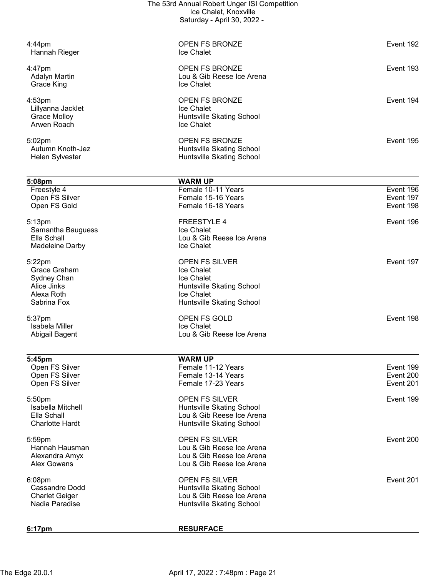|                                                | The 53rd Annual Robert Unger ISI Competition<br>Ice Chalet, Knoxville |                        |
|------------------------------------------------|-----------------------------------------------------------------------|------------------------|
|                                                | Saturday - April 30, 2022 -                                           |                        |
| $4:44$ pm                                      | <b>OPEN FS BRONZE</b>                                                 | Event 192              |
| Hannah Rieger                                  | Ice Chalet                                                            |                        |
| 4:47pm                                         | <b>OPEN FS BRONZE</b>                                                 | Event 193              |
| <b>Adalyn Martin</b><br>Grace King             | Lou & Gib Reese Ice Arena<br>Ice Chalet                               |                        |
| 4:53pm                                         | <b>OPEN FS BRONZE</b>                                                 | Event 194              |
| Lillyanna Jacklet                              | Ice Chalet                                                            |                        |
| Grace Molloy<br>Arwen Roach                    | Huntsville Skating School<br>Ice Chalet                               |                        |
|                                                | <b>OPEN FS BRONZE</b>                                                 | Event 195              |
| 5:02pm<br>Autumn Knoth-Jez                     | Huntsville Skating School                                             |                        |
| Helen Sylvester                                | Huntsville Skating School                                             |                        |
| 5:08pm                                         | <b>WARM UP</b>                                                        |                        |
| Freestyle 4<br>Open FS Silver                  | Female 10-11 Years<br>Female 15-16 Years                              | Event 196<br>Event 197 |
| Open FS Gold                                   | Female 16-18 Years                                                    | Event 198              |
| 5:13pm                                         | <b>FREESTYLE 4</b>                                                    | Event 196              |
| Samantha Bauguess                              | Ice Chalet                                                            |                        |
| Ella Schall<br>Madeleine Darby                 | Lou & Gib Reese Ice Arena<br>Ice Chalet                               |                        |
| 5:22pm                                         | OPEN FS SILVER                                                        | Event 197              |
| Grace Graham                                   | Ice Chalet                                                            |                        |
| Sydney Chan<br>Alice Jinks                     | Ice Chalet<br>Huntsville Skating School                               |                        |
| Alexa Roth                                     | <b>Ice Chalet</b>                                                     |                        |
| Sabrina Fox                                    | Huntsville Skating School                                             |                        |
| 5:37pm                                         | <b>OPEN FS GOLD</b>                                                   | Event 198              |
| Isabela Miller<br>Abigail Bagent               | <b>Ice Chalet</b><br>Lou & Gib Reese Ice Arena                        |                        |
| 5:45pm                                         | <b>WARM UP</b>                                                        |                        |
| Open FS Silver                                 | Female 11-12 Years                                                    | Event 199              |
| Open FS Silver                                 | Female 13-14 Years                                                    | Event 200              |
| Open FS Silver                                 | Female 17-23 Years                                                    | Event 201              |
| 5:50pm                                         | <b>OPEN FS SILVER</b>                                                 | Event 199              |
| Isabella Mitchell<br>Ella Schall               | Huntsville Skating School<br>Lou & Gib Reese Ice Arena                |                        |
| <b>Charlotte Hardt</b>                         | Huntsville Skating School                                             |                        |
| 5:59pm                                         | <b>OPEN FS SILVER</b>                                                 | Event 200              |
| Hannah Hausman<br>Alexandra Amyx               | Lou & Gib Reese Ice Arena<br>Lou & Gib Reese Ice Arena                |                        |
| <b>Alex Gowans</b>                             | Lou & Gib Reese Ice Arena                                             |                        |
| 6:08pm                                         | <b>OPEN FS SILVER</b>                                                 | Event 201              |
| <b>Cassandre Dodd</b><br><b>Charlet Geiger</b> | <b>Huntsville Skating School</b><br>Lou & Gib Reese Ice Arena         |                        |
| Nadia Paradise                                 | Huntsville Skating School                                             |                        |
| 6:17pm                                         | <b>RESURFACE</b>                                                      |                        |
|                                                |                                                                       |                        |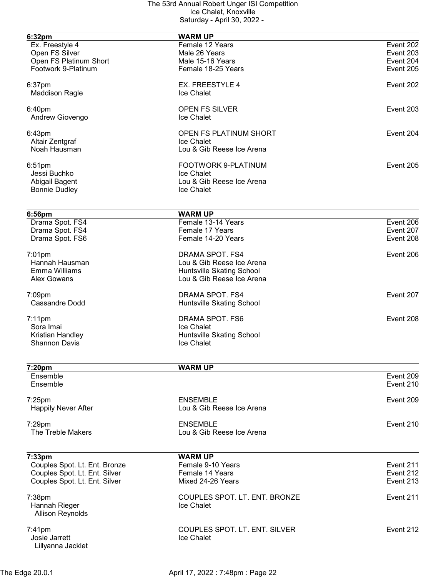| 6:32pm                                  | <b>WARM UP</b>                              |                        |
|-----------------------------------------|---------------------------------------------|------------------------|
| Ex. Freestyle 4                         | Female 12 Years                             | Event 202              |
| Open FS Silver                          | Male 26 Years                               | Event 203              |
| Open FS Platinum Short                  | Male 15-16 Years                            | Event 204              |
| Footwork 9-Platinum                     | Female 18-25 Years                          | Event 205              |
|                                         |                                             |                        |
| 6:37pm                                  | <b>EX. FREESTYLE 4</b>                      | Event 202              |
| <b>Maddison Ragle</b>                   | Ice Chalet                                  |                        |
| 6:40pm                                  | <b>OPEN FS SILVER</b>                       | Event 203              |
| Andrew Giovengo                         | <b>Ice Chalet</b>                           |                        |
| 6:43pm                                  | OPEN FS PLATINUM SHORT                      | Event 204              |
| Altair Zentgraf                         | Ice Chalet                                  |                        |
| Noah Hausman                            | Lou & Gib Reese Ice Arena                   |                        |
|                                         |                                             |                        |
| $6:51$ pm                               | FOOTWORK 9-PLATINUM                         | Event 205              |
| Jessi Buchko                            | Ice Chalet                                  |                        |
| Abigail Bagent                          | Lou & Gib Reese Ice Arena                   |                        |
| <b>Bonnie Dudley</b>                    | Ice Chalet                                  |                        |
|                                         |                                             |                        |
| 6:56pm                                  | <b>WARM UP</b>                              |                        |
| Drama Spot. FS4                         | Female 13-14 Years                          | Event 206              |
| Drama Spot. FS4                         | Female 17 Years                             | Event 207              |
| Drama Spot. FS6                         | Female 14-20 Years                          | Event 208              |
| $7:01$ pm                               | DRAMA SPOT. FS4                             | Event 206              |
| Hannah Hausman                          | Lou & Gib Reese Ice Arena                   |                        |
| Emma Williams                           | Huntsville Skating School                   |                        |
| Alex Gowans                             | Lou & Gib Reese Ice Arena                   |                        |
|                                         | DRAMA SPOT. FS4                             | Event 207              |
| 7:09pm<br><b>Cassandre Dodd</b>         |                                             |                        |
|                                         | Huntsville Skating School                   |                        |
| $7:11$ pm                               | DRAMA SPOT. FS6                             | Event 208              |
| Sora Imai                               | Ice Chalet                                  |                        |
| Kristian Handley                        | Huntsville Skating School                   |                        |
| <b>Shannon Davis</b>                    | Ice Chalet                                  |                        |
|                                         |                                             |                        |
| 7:20pm                                  | <b>WARM UP</b>                              |                        |
| Ensemble<br>Ensemble                    |                                             | Event 209<br>Event 210 |
|                                         |                                             |                        |
| $7:25$ pm                               | <b>ENSEMBLE</b>                             | Event 209              |
| <b>Happily Never After</b>              | Lou & Gib Reese Ice Arena                   |                        |
| 7:29pm                                  | <b>ENSEMBLE</b>                             | Event 210              |
| The Treble Makers                       | Lou & Gib Reese Ice Arena                   |                        |
|                                         |                                             |                        |
|                                         |                                             |                        |
| 7:33pm<br>Couples Spot. Lt. Ent. Bronze | <b>WARM UP</b><br>Female 9-10 Years         | Event $2\overline{11}$ |
| Couples Spot. Lt. Ent. Silver           | Female 14 Years                             | Event 212              |
| Couples Spot. Lt. Ent. Silver           | Mixed 24-26 Years                           | Event 213              |
|                                         |                                             |                        |
| $7:38$ pm                               | COUPLES SPOT. LT. ENT. BRONZE               | Event 211              |
| Hannah Rieger                           | Ice Chalet                                  |                        |
| <b>Allison Reynolds</b>                 |                                             |                        |
|                                         |                                             | Event 212              |
| $7:41$ pm<br>Josie Jarrett              | COUPLES SPOT. LT. ENT. SILVER<br>Ice Chalet |                        |
| Lillyanna Jacklet                       |                                             |                        |
|                                         |                                             |                        |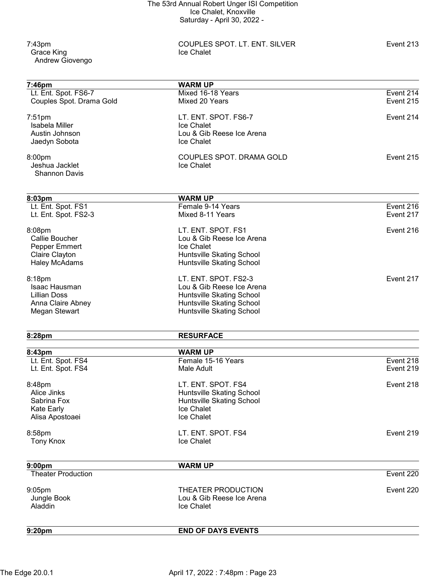Grace King Andrew Giovengo

7:43pm COUPLES SPOT. LT. ENT. SILVER Event 213

| 7:46pm                    | <b>WARM UP</b>            |           |
|---------------------------|---------------------------|-----------|
| Lt. Ent. Spot. FS6-7      | Mixed 16-18 Years         | Event 214 |
| Couples Spot. Drama Gold  | Mixed 20 Years            | Event 215 |
| 7:51pm                    | LT. ENT. SPOT. FS6-7      | Event 214 |
| Isabela Miller            | Ice Chalet                |           |
| Austin Johnson            | Lou & Gib Reese Ice Arena |           |
| Jaedyn Sobota             | Ice Chalet                |           |
| 8:00pm                    | COUPLES SPOT. DRAMA GOLD  | Event 215 |
| Jeshua Jacklet            | <b>Ice Chalet</b>         |           |
| <b>Shannon Davis</b>      |                           |           |
| 8:03pm                    | <b>WARM UP</b>            |           |
| Lt. Ent. Spot. FS1        | Female 9-14 Years         | Event 216 |
| Lt. Ent. Spot. FS2-3      | Mixed 8-11 Years          | Event 217 |
|                           |                           |           |
| 8:08pm                    | LT. ENT. SPOT. FS1        | Event 216 |
| <b>Callie Boucher</b>     | Lou & Gib Reese Ice Arena |           |
| Pepper Emmert             | Ice Chalet                |           |
| Claire Clayton            | Huntsville Skating School |           |
| <b>Haley McAdams</b>      | Huntsville Skating School |           |
| 8:18pm                    | LT. ENT. SPOT. FS2-3      | Event 217 |
| Isaac Hausman             | Lou & Gib Reese Ice Arena |           |
| Lillian Doss              | Huntsville Skating School |           |
| Anna Claire Abney         | Huntsville Skating School |           |
| Megan Stewart             | Huntsville Skating School |           |
| 8:28pm                    | <b>RESURFACE</b>          |           |
| 8:43pm                    | <b>WARM UP</b>            |           |
| Lt. Ent. Spot. FS4        | Female 15-16 Years        | Event 218 |
| Lt. Ent. Spot. FS4        | Male Adult                | Event 219 |
|                           |                           |           |
| 8:48pm                    | LT. ENT. SPOT. FS4        | Event 218 |
| Alice Jinks               | Huntsville Skating School |           |
| Sabrina Fox               | Huntsville Skating School |           |
| <b>Kate Early</b>         | Ice Chalet                |           |
| Alisa Apostoaei           | Ice Chalet                |           |
| 8:58pm                    | LT. ENT. SPOT. FS4        | Event 219 |
| <b>Tony Knox</b>          | Ice Chalet                |           |
| 9:00 <sub>pm</sub>        | <b>WARM UP</b>            |           |
| <b>Theater Production</b> |                           | Event 220 |
|                           |                           |           |
| 9:05pm                    | THEATER PRODUCTION        | Event 220 |
| Jungle Book               | Lou & Gib Reese Ice Arena |           |
| Aladdin                   | Ice Chalet                |           |
| 9:20pm                    | <b>END OF DAYS EVENTS</b> |           |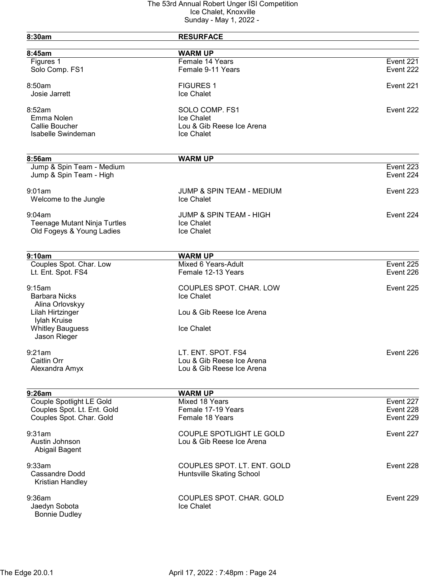| 8:30am                                  | <b>RESURFACE</b>                   |           |
|-----------------------------------------|------------------------------------|-----------|
| 8:45am                                  | <b>WARM UP</b>                     |           |
| Figures 1                               | Female 14 Years                    | Event 221 |
| Solo Comp. FS1                          | Female 9-11 Years                  | Event 222 |
| 8:50am                                  | <b>FIGURES 1</b>                   | Event 221 |
| Josie Jarrett                           | Ice Chalet                         |           |
| 8:52am                                  | SOLO COMP. FS1                     | Event 222 |
| Emma Nolen                              | Ice Chalet                         |           |
| Callie Boucher                          | Lou & Gib Reese Ice Arena          |           |
| Isabelle Swindeman                      | <b>Ice Chalet</b>                  |           |
| 8:56am                                  |                                    |           |
| Jump & Spin Team - Medium               | <b>WARM UP</b>                     | Event 223 |
| Jump & Spin Team - High                 |                                    | Event 224 |
| 9:01am                                  | JUMP & SPIN TEAM - MEDIUM          | Event 223 |
| Welcome to the Jungle                   | <b>Ice Chalet</b>                  |           |
| 9:04am                                  | <b>JUMP &amp; SPIN TEAM - HIGH</b> | Event 224 |
| <b>Teenage Mutant Ninja Turtles</b>     | Ice Chalet                         |           |
| Old Fogeys & Young Ladies               | Ice Chalet                         |           |
| 9:10am                                  | <b>WARM UP</b>                     |           |
| Couples Spot. Char. Low                 | Mixed 6 Years-Adult                | Event 225 |
| Lt. Ent. Spot. FS4                      | Female 12-13 Years                 | Event 226 |
| 9:15am                                  | COUPLES SPOT. CHAR. LOW            | Event 225 |
| <b>Barbara Nicks</b>                    | Ice Chalet                         |           |
| Alina Orlovskyy                         |                                    |           |
| Lilah Hirtzinger                        | Lou & Gib Reese Ice Arena          |           |
| Iylah Kruise<br><b>Whitley Bauguess</b> | Ice Chalet                         |           |
| Jason Rieger                            |                                    |           |
| 9:21am                                  | LT. ENT. SPOT. FS4                 | Event 226 |
| Caitlin Orr                             | Lou & Gib Reese Ice Arena          |           |
| Alexandra Amyx                          | Lou & Gib Reese Ice Arena          |           |
| 9:26am                                  | <b>WARM UP</b>                     |           |
| Couple Spotlight LE Gold                | Mixed 18 Years                     | Event 227 |
| Couples Spot. Lt. Ent. Gold             | Female 17-19 Years                 | Event 228 |
| Couples Spot. Char. Gold                | Female 18 Years                    | Event 229 |
| 9:31am                                  | <b>COUPLE SPOTLIGHT LE GOLD</b>    | Event 227 |
| Austin Johnson<br>Abigail Bagent        | Lou & Gib Reese Ice Arena          |           |
| 9:33am                                  | COUPLES SPOT. LT. ENT. GOLD        | Event 228 |
| <b>Cassandre Dodd</b>                   | Huntsville Skating School          |           |
| Kristian Handley                        |                                    |           |
| 9:36am                                  | COUPLES SPOT. CHAR. GOLD           | Event 229 |
| Jaedyn Sobota                           | Ice Chalet                         |           |
| <b>Bonnie Dudley</b>                    |                                    |           |
|                                         |                                    |           |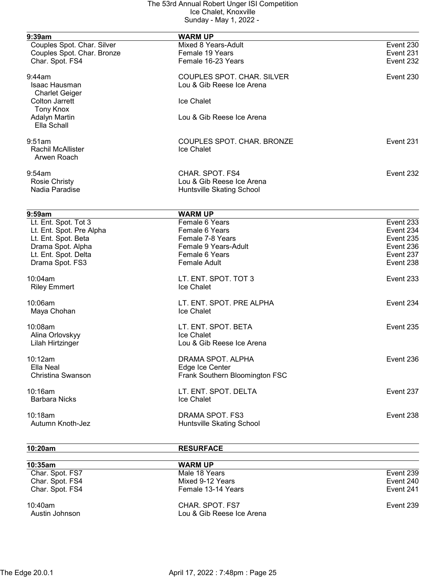| 9:39am                     | <b>WARM UP</b>                    |           |
|----------------------------|-----------------------------------|-----------|
| Couples Spot. Char. Silver | Mixed 8 Years-Adult               | Event 230 |
| Couples Spot. Char. Bronze | Female 19 Years                   | Event 231 |
| Char. Spot. FS4            | Female 16-23 Years                | Event 232 |
| $9:44$ am                  | <b>COUPLES SPOT. CHAR. SILVER</b> | Event 230 |
| Isaac Hausman              | Lou & Gib Reese Ice Arena         |           |
| <b>Charlet Geiger</b>      |                                   |           |
| <b>Colton Jarrett</b>      | Ice Chalet                        |           |
| <b>Tony Knox</b>           |                                   |           |
| <b>Adalyn Martin</b>       | Lou & Gib Reese Ice Arena         |           |
| Ella Schall                |                                   |           |
| 9:51am                     | COUPLES SPOT. CHAR. BRONZE        | Event 231 |
| <b>Rachil McAllister</b>   | Ice Chalet                        |           |
| Arwen Roach                |                                   |           |
| 9:54am                     | CHAR. SPOT. FS4                   | Event 232 |
| <b>Rosie Christy</b>       | Lou & Gib Reese Ice Arena         |           |
| Nadia Paradise             | Huntsville Skating School         |           |
|                            |                                   |           |
| 9:59am                     | <b>WARM UP</b>                    |           |
| Lt. Ent. Spot. Tot 3       | Female 6 Years                    | Event 233 |
| Lt. Ent. Spot. Pre Alpha   | Female 6 Years                    | Event 234 |
| Lt. Ent. Spot. Beta        | Female 7-8 Years                  | Event 235 |
| Drama Spot. Alpha          | Female 9 Years-Adult              | Event 236 |
| Lt. Ent. Spot. Delta       | Female 6 Years                    | Event 237 |
| Drama Spot. FS3            | <b>Female Adult</b>               | Event 238 |
| 10:04am                    | LT. ENT. SPOT. TOT 3              | Event 233 |
| <b>Riley Emmert</b>        | Ice Chalet                        |           |
| 10:06am                    | LT. ENT. SPOT. PRE ALPHA          | Event 234 |
| Maya Chohan                | Ice Chalet                        |           |
| 10:08am                    | LT. ENT. SPOT. BETA               | Event 235 |
|                            | Ice Chalet                        |           |
| Alina Orlovskyy            | Lou & Gib Reese Ice Arena         |           |
| Lilah Hirtzinger           |                                   |           |
| 10:12am                    | DRAMA SPOT. ALPHA                 | Event 236 |
| Ella Neal                  | Edge Ice Center                   |           |
| Christina Swanson          | Frank Southern Bloomington FSC    |           |
| 10:16am                    | LT. ENT. SPOT. DELTA              | Event 237 |
| <b>Barbara Nicks</b>       | Ice Chalet                        |           |
| 10:18am                    | DRAMA SPOT. FS3                   | Event 238 |
| Autumn Knoth-Jez           | Huntsville Skating School         |           |

10:20am RESURFACE

| $10:35$ am                   | <b>WARM UP</b>                               |           |
|------------------------------|----------------------------------------------|-----------|
| Char. Spot. FS7              | Male 18 Years                                | Event 239 |
| Char. Spot. FS4              | Mixed 9-12 Years                             | Event 240 |
| Char. Spot. FS4              | Female 13-14 Years                           | Event 241 |
| $10:40$ am<br>Austin Johnson | CHAR, SPOT, FS7<br>Lou & Gib Reese Ice Arena | Event 239 |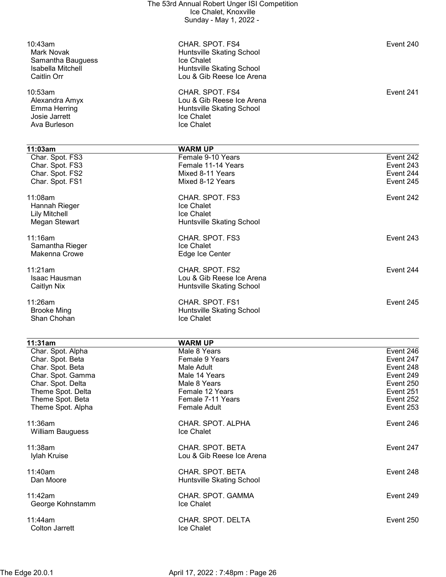| The 53rd Annual Robert Unger ISI Competition<br>Ice Chalet, Knoxville<br>Sunday - May 1, 2022 - |                                                                                                                             |                                                  |
|-------------------------------------------------------------------------------------------------|-----------------------------------------------------------------------------------------------------------------------------|--------------------------------------------------|
| 10:43am<br>Mark Novak<br>Samantha Bauguess<br>Isabella Mitchell<br>Caitlin Orr                  | CHAR. SPOT. FS4<br>Huntsville Skating School<br><b>Ice Chalet</b><br>Huntsville Skating School<br>Lou & Gib Reese Ice Arena | Event 240                                        |
| 10:53am<br>Alexandra Amyx<br>Emma Herring<br>Josie Jarrett<br>Ava Burleson                      | CHAR. SPOT. FS4<br>Lou & Gib Reese Ice Arena<br>Huntsville Skating School<br>Ice Chalet<br>Ice Chalet                       | Event 241                                        |
| 11:03am                                                                                         | <b>WARM UP</b>                                                                                                              |                                                  |
| Char. Spot. FS3<br>Char. Spot. FS3<br>Char. Spot. FS2<br>Char. Spot. FS1                        | Female 9-10 Years<br>Female 11-14 Years<br>Mixed 8-11 Years<br>Mixed 8-12 Years                                             | Event 242<br>Event 243<br>Event 244<br>Event 245 |
| 11:08am<br>Hannah Rieger<br><b>Lily Mitchell</b><br>Megan Stewart                               | CHAR. SPOT. FS3<br>Ice Chalet<br>Ice Chalet<br>Huntsville Skating School                                                    | Event 242                                        |
| 11:16am<br>Samantha Rieger<br>Makenna Crowe                                                     | CHAR. SPOT. FS3<br>Ice Chalet<br>Edge Ice Center                                                                            | Event 243                                        |
| 11:21am<br>Isaac Hausman<br>Caitlyn Nix                                                         | CHAR. SPOT. FS2<br>Lou & Gib Reese Ice Arena<br>Huntsville Skating School                                                   | Event 244                                        |
| 11:26am<br><b>Brooke Ming</b><br>Shan Chohan                                                    | CHAR. SPOT. FS1<br>Huntsville Skating School<br>Ice Chalet                                                                  | Event 245                                        |

| 11:31am                               | <b>WARM UP</b>                                |           |
|---------------------------------------|-----------------------------------------------|-----------|
| Char. Spot. Alpha                     | Male 8 Years                                  | Event 246 |
| Char. Spot. Beta                      | Female 9 Years                                | Event 247 |
| Char. Spot. Beta                      | Male Adult                                    | Event 248 |
| Char. Spot. Gamma                     | Male 14 Years                                 | Event 249 |
| Char. Spot. Delta                     | Male 8 Years                                  | Event 250 |
| Theme Spot. Delta                     | Female 12 Years                               | Event 251 |
| Theme Spot. Beta                      | Female 7-11 Years                             | Event 252 |
| Theme Spot. Alpha                     | Female Adult                                  | Event 253 |
| $11:36$ am<br><b>William Bauguess</b> | CHAR. SPOT. ALPHA<br><b>Ice Chalet</b>        | Event 246 |
| $11:38$ am<br>Iylah Kruise            | CHAR. SPOT. BETA<br>Lou & Gib Reese Ice Arena | Event 247 |
| $11:40$ am<br>Dan Moore               | CHAR. SPOT. BETA<br>Huntsville Skating School | Event 248 |
| 11:42am<br>George Kohnstamm           | CHAR. SPOT. GAMMA<br><b>Ice Chalet</b>        | Event 249 |
| 11:44am<br>Colton Jarrett             | CHAR. SPOT. DELTA<br>Ice Chalet               | Event 250 |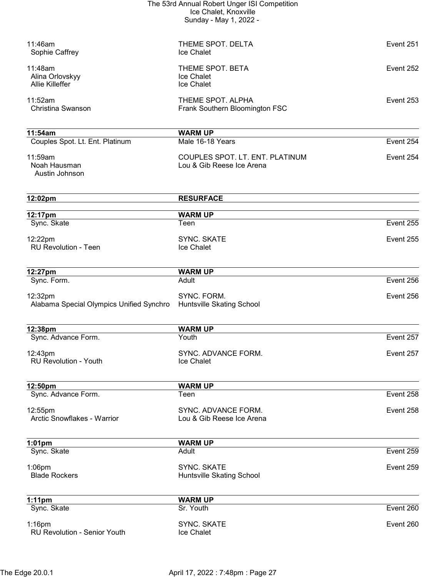| The 53rd Annual Robert Unger ISI Competition |
|----------------------------------------------|
| Ice Chalet, Knoxville                        |
| Sunday - May 1, 2022 -                       |

| 11:46am<br>Sophie Caffrey                            | THEME SPOT. DELTA<br>Ice Chalet                              | Event 251 |
|------------------------------------------------------|--------------------------------------------------------------|-----------|
| 11:48am<br>Alina Orlovskyy<br><b>Allie Killeffer</b> | THEME SPOT. BETA<br>Ice Chalet<br>Ice Chalet                 | Event 252 |
| 11:52am<br>Christina Swanson                         | THEME SPOT. ALPHA<br>Frank Southern Bloomington FSC          | Event 253 |
| 11:54am                                              | <b>WARM UP</b>                                               |           |
| Couples Spot. Lt. Ent. Platinum                      | Male 16-18 Years                                             | Event 254 |
| 11:59am<br>Noah Hausman<br>Austin Johnson            | COUPLES SPOT. LT. ENT. PLATINUM<br>Lou & Gib Reese Ice Arena | Event 254 |
| 12:02pm                                              | <b>RESURFACE</b>                                             |           |
| 12:17pm                                              | <b>WARM UP</b>                                               |           |
| Sync. Skate                                          | Teen                                                         | Event 255 |
| 12:22pm<br><b>RU Revolution - Teen</b>               | <b>SYNC. SKATE</b><br>Ice Chalet                             | Event 255 |
| 12:27pm                                              | <b>WARM UP</b>                                               |           |
| Sync. Form.                                          | Adult                                                        | Event 256 |
| 12:32pm<br>Alabama Special Olympics Unified Synchro  | SYNC. FORM.<br>Huntsville Skating School                     | Event 256 |
| 12:38pm                                              | <b>WARM UP</b>                                               |           |
| Sync. Advance Form.                                  | Youth                                                        | Event 257 |
| 12:43pm<br><b>RU Revolution - Youth</b>              | SYNC. ADVANCE FORM.<br>Ice Chalet                            | Event 257 |
| 12:50pm                                              | <b>WARM UP</b>                                               |           |
| Sync. Advance Form.                                  | Teen                                                         | Event 258 |
| 12:55pm<br>Arctic Snowflakes - Warrior               | SYNC. ADVANCE FORM.<br>Lou & Gib Reese Ice Arena             | Event 258 |
| $1:01$ pm                                            | <b>WARM UP</b>                                               |           |
| Sync. Skate                                          | Adult                                                        | Event 259 |
| 1:06pm<br><b>Blade Rockers</b>                       | <b>SYNC. SKATE</b><br>Huntsville Skating School              | Event 259 |
| $1:11$ pm                                            | <b>WARM UP</b>                                               |           |
| Sync. Skate                                          | Sr. Youth                                                    | Event 260 |
| $1:16$ pm<br><b>RU Revolution - Senior Youth</b>     | <b>SYNC. SKATE</b><br>Ice Chalet                             | Event 260 |